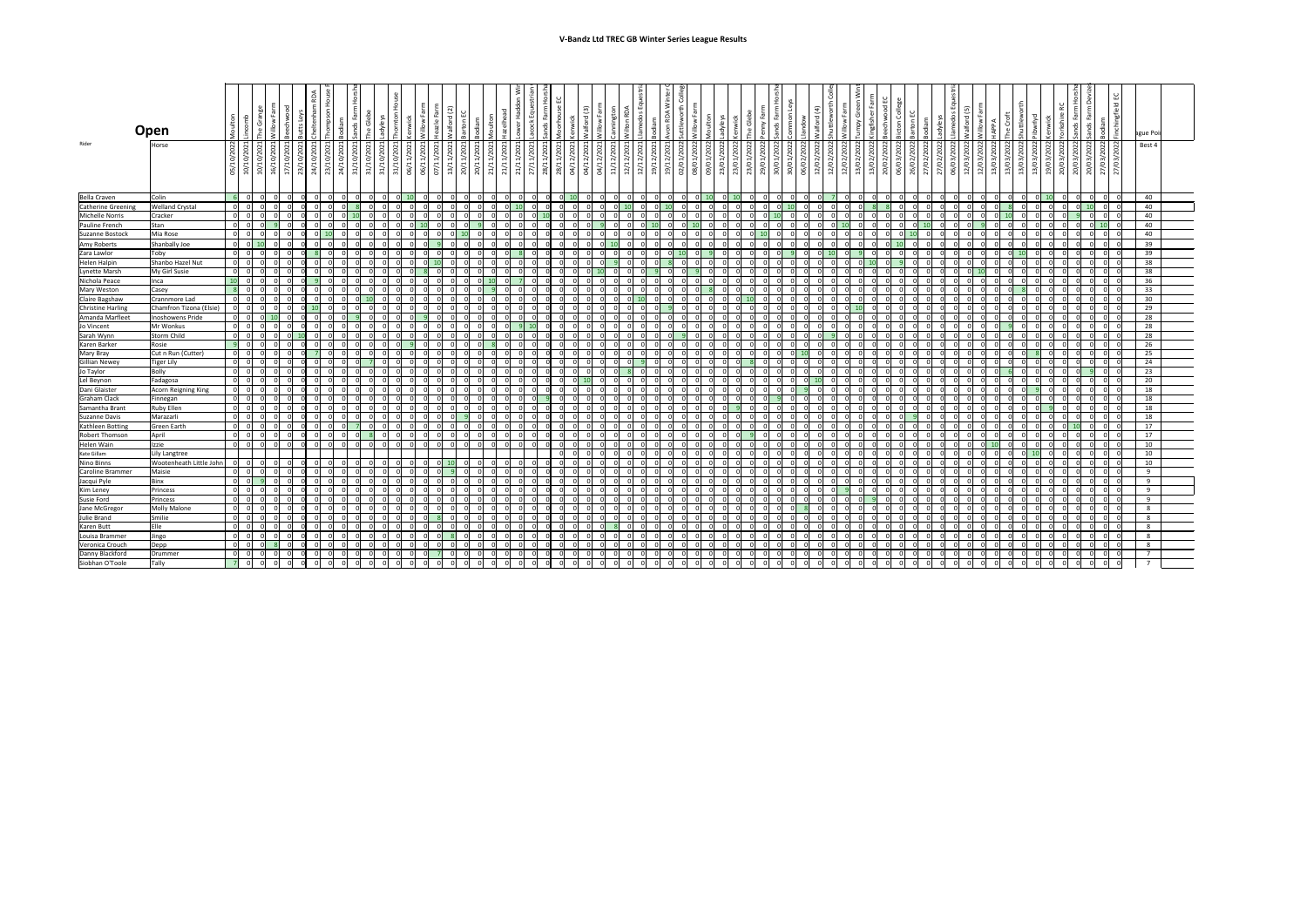|                        | Open<br>္တိ                                           |                                                                                    |                                                                                                |                                           | S.                                                                                                  | 훈<br>ton                                          | $\geq$ 1                                                                                                                                    |                                                                      |                                 |                                                 |                       | ய<br>್ದ                                                        | $\frac{5}{2}$                                              | $\boxed{3}$<br>ਨ                                        | RDA<br>$\epsilon$                                                                                              |                                                                    | $\leq$ 1                                                                                                                                                        |                         |                                     |                                       | ಕೆ                                                      | nmon                                   | $\widehat{+}$<br>ਠ<br>≗ |                                              | $\overline{\mathbf{5}}$<br>ஶ                                    |                                       |                    | LL I<br>$\ddot{e}$                          | ರ<br>₽             | C<br>മ                                                              |                      |                         |                                                | පි<br>മ                             |            | ague Poi                 |  |
|------------------------|-------------------------------------------------------|------------------------------------------------------------------------------------|------------------------------------------------------------------------------------------------|-------------------------------------------|-----------------------------------------------------------------------------------------------------|---------------------------------------------------|---------------------------------------------------------------------------------------------------------------------------------------------|----------------------------------------------------------------------|---------------------------------|-------------------------------------------------|-----------------------|----------------------------------------------------------------|------------------------------------------------------------|---------------------------------------------------------|----------------------------------------------------------------------------------------------------------------|--------------------------------------------------------------------|-----------------------------------------------------------------------------------------------------------------------------------------------------------------|-------------------------|-------------------------------------|---------------------------------------|---------------------------------------------------------|----------------------------------------|-------------------------|----------------------------------------------|-----------------------------------------------------------------|---------------------------------------|--------------------|---------------------------------------------|--------------------|---------------------------------------------------------------------|----------------------|-------------------------|------------------------------------------------|-------------------------------------|------------|--------------------------|--|
| Rider                  | 2022<br>Horse<br>ੇ<br>$\overline{\phantom{a}}$<br>05/ | $\overline{\phantom{a}}$<br>10/10/2021<br>16/10/2021<br>S<br>O<br>$\sim$<br>ğ<br>ğ | $\overline{\phantom{0}}$<br>$\overline{\phantom{0}}$<br>17/10/2021<br>23/10/2021<br>24/10/2021 | $\overline{\phantom{0}}$<br>202<br>23/10/ | $\overline{ }$ $\overline{ }$<br>24/10/2021<br>31/10/2021<br>31/10/2021<br>31/10/2021<br>31/10/2021 | $\overline{ }$<br>202<br>ਜ<br>$\overline{a}$<br>ෂ | $\overline{\phantom{0}}$<br>$\overline{\phantom{0}}$<br>1/202<br>$\mathcal{L}$<br>$\sim$<br>$\overline{\phantom{0}}$<br>$\frac{06/1}{07/1}$ | 202<br>$\blacksquare$<br>$\overline{\phantom{a}}$<br>$\overline{20}$ | $\overline{ }$<br>1/202<br>20/1 | .1/2021<br>202<br>$\overline{ }$<br>21/1<br>1/1 | 202<br>$\overline{ }$ | $\overline{ }$<br>$\frac{1/202}{1/202}$<br>$\frac{21/1}{27/1}$ | $\overline{\phantom{0}}$<br>1/202<br>2/202<br>28/1<br>04/1 | $\overline{\phantom{0}}$<br>202<br>$\mathbf{v}$<br>04/1 | $\overline{\phantom{0}}$<br>2/2022<br>$\sim$<br>$\circ$<br>$\sim$<br>$\overline{\phantom{0}}$<br>$\frac{1}{2}$ | 8<br>$\sim$<br>$\overline{a}$<br>$\overline{ }$<br>$\widetilde{z}$ | $\overline{ }$ $\overline{ }$<br>$\overline{\phantom{0}}$<br>$\frac{2}{2}$<br>202<br>$\sim$<br>$\widetilde{\vphantom{a}}$<br>$\frac{19}{12}$<br>$\frac{13}{12}$ | 8<br>08/01/2<br>09/01/2 | $\sim$<br>ි<br>පි<br>$\sim$<br>23/0 | 8<br>S<br>$\sim$ 1<br>23/0<br>$\circ$ | 202<br>$\sim$<br>$\circ$<br>$\sim$ 1<br>$\frac{29}{30}$ | $\sim$<br>30/01/2022<br>2/202<br>06/02 | 2022<br>12/02           | ⊂<br>っ<br>$\sim$<br>$\overline{\phantom{0}}$ | $\sim$<br>202<br>$\circ$<br>13/02<br>$\circ$<br>$\overline{13}$ | $\sim$<br>202<br>S<br>$\frac{20}{06}$ | $\circ$<br>$\circ$ | $\sim$<br>06/03/2022<br>ට<br>$\sim$<br>27/0 | 202<br>202<br>12/0 | $\sim$<br>2022<br>$\sim$<br>$\circ$<br>3/2<br>$\frac{12/03}{13/03}$ | 13/03/2022<br>$\sim$ | 19/03/2022<br>13/03/202 | $\sim$<br>$\frac{3/20}{3/20}$<br>$rac{20}{20}$ | 20/03/2022<br>202<br>$\overline{c}$ | 27/03/2022 | Best 4                   |  |
| <b>Bella Craven</b>    | Colin                                                 |                                                                                    |                                                                                                |                                           |                                                                                                     | ി I                                               |                                                                                                                                             |                                                                      |                                 |                                                 |                       |                                                                |                                                            |                                                         |                                                                                                                |                                                                    |                                                                                                                                                                 |                         |                                     |                                       |                                                         |                                        |                         |                                              | - OI                                                            |                                       |                    |                                             |                    |                                                                     |                      |                         |                                                | - 0 I                               |            | 40                       |  |
| Catherine Greening     | <b>Welland Crystal</b>                                |                                                                                    |                                                                                                |                                           |                                                                                                     |                                                   |                                                                                                                                             |                                                                      |                                 |                                                 |                       |                                                                |                                                            |                                                         |                                                                                                                |                                                                    |                                                                                                                                                                 |                         |                                     |                                       |                                                         |                                        |                         |                                              |                                                                 |                                       |                    |                                             |                    |                                                                     |                      |                         |                                                |                                     |            | 40                       |  |
| Michelle Norris        | Cracker                                               |                                                                                    |                                                                                                |                                           |                                                                                                     |                                                   |                                                                                                                                             |                                                                      |                                 |                                                 |                       |                                                                |                                                            |                                                         |                                                                                                                |                                                                    |                                                                                                                                                                 |                         |                                     |                                       |                                                         |                                        |                         |                                              |                                                                 |                                       |                    |                                             |                    |                                                                     |                      |                         |                                                | ΟI                                  |            | 40                       |  |
| Pauline French         | Stan                                                  |                                                                                    |                                                                                                |                                           |                                                                                                     |                                                   |                                                                                                                                             |                                                                      |                                 |                                                 |                       |                                                                |                                                            |                                                         |                                                                                                                |                                                                    |                                                                                                                                                                 |                         |                                     |                                       |                                                         |                                        |                         |                                              |                                                                 |                                       |                    |                                             |                    |                                                                     |                      |                         |                                                | $\Omega$                            |            | 40                       |  |
| <b>Suzanne Bostock</b> | Mia Rose                                              |                                                                                    |                                                                                                |                                           |                                                                                                     |                                                   |                                                                                                                                             |                                                                      |                                 |                                                 |                       |                                                                |                                                            |                                                         |                                                                                                                |                                                                    |                                                                                                                                                                 |                         |                                     |                                       |                                                         |                                        |                         |                                              |                                                                 |                                       |                    |                                             |                    |                                                                     |                      |                         |                                                | ΩI                                  |            | 40                       |  |
| Amy Roberts            | Shanbally Joe                                         |                                                                                    |                                                                                                |                                           |                                                                                                     |                                                   |                                                                                                                                             |                                                                      |                                 |                                                 |                       |                                                                |                                                            |                                                         |                                                                                                                |                                                                    |                                                                                                                                                                 |                         |                                     |                                       |                                                         |                                        |                         |                                              |                                                                 |                                       |                    |                                             |                    |                                                                     |                      |                         |                                                |                                     |            | 39                       |  |
| Zara Lawlor            | Toby                                                  |                                                                                    |                                                                                                |                                           |                                                                                                     |                                                   |                                                                                                                                             |                                                                      |                                 |                                                 |                       |                                                                |                                                            |                                                         |                                                                                                                |                                                                    |                                                                                                                                                                 |                         |                                     |                                       |                                                         |                                        |                         |                                              |                                                                 |                                       |                    |                                             |                    |                                                                     |                      |                         |                                                | ΩI                                  |            | 39                       |  |
| <b>Helen Halpin</b>    | Shanbo Hazel Nut                                      |                                                                                    |                                                                                                |                                           |                                                                                                     |                                                   |                                                                                                                                             |                                                                      |                                 |                                                 |                       |                                                                |                                                            |                                                         |                                                                                                                |                                                                    |                                                                                                                                                                 |                         |                                     |                                       |                                                         |                                        |                         |                                              |                                                                 |                                       |                    |                                             |                    |                                                                     |                      |                         |                                                | -01                                 |            | 38                       |  |
| Lynette Marsh          | My Girl Susie                                         |                                                                                    |                                                                                                |                                           |                                                                                                     |                                                   |                                                                                                                                             |                                                                      |                                 |                                                 |                       |                                                                |                                                            |                                                         |                                                                                                                |                                                                    |                                                                                                                                                                 |                         |                                     |                                       |                                                         |                                        |                         |                                              |                                                                 |                                       |                    |                                             |                    |                                                                     |                      |                         |                                                |                                     |            | 38                       |  |
| Nichola Peace          | 1 <sup>1</sup><br>Inca                                |                                                                                    |                                                                                                |                                           |                                                                                                     |                                                   |                                                                                                                                             |                                                                      |                                 |                                                 |                       |                                                                |                                                            |                                                         |                                                                                                                |                                                                    |                                                                                                                                                                 |                         |                                     |                                       |                                                         |                                        |                         |                                              |                                                                 |                                       |                    |                                             |                    |                                                                     |                      |                         |                                                | $\Omega$                            |            | 36                       |  |
| <b>Mary Weston</b>     | Casey                                                 |                                                                                    |                                                                                                |                                           |                                                                                                     |                                                   |                                                                                                                                             |                                                                      |                                 |                                                 |                       |                                                                |                                                            |                                                         |                                                                                                                |                                                                    |                                                                                                                                                                 |                         |                                     |                                       |                                                         |                                        |                         |                                              |                                                                 |                                       |                    |                                             |                    |                                                                     |                      |                         |                                                | ΩI                                  |            | 33                       |  |
| Claire Bagshaw         | Crannmore Lad                                         |                                                                                    |                                                                                                |                                           |                                                                                                     |                                                   |                                                                                                                                             |                                                                      |                                 |                                                 |                       |                                                                |                                                            |                                                         |                                                                                                                |                                                                    |                                                                                                                                                                 |                         |                                     |                                       |                                                         |                                        |                         |                                              |                                                                 |                                       |                    |                                             |                    |                                                                     |                      |                         |                                                | ി I                                 |            | 30 <sup>°</sup>          |  |
| Christine Harling      | Chamfron Tizona (Elsie)                               |                                                                                    |                                                                                                |                                           |                                                                                                     |                                                   |                                                                                                                                             |                                                                      |                                 |                                                 |                       |                                                                |                                                            |                                                         |                                                                                                                |                                                                    |                                                                                                                                                                 |                         |                                     |                                       |                                                         |                                        |                         |                                              |                                                                 |                                       |                    |                                             |                    |                                                                     |                      |                         |                                                | ΩI                                  |            | 29                       |  |
| Amanda Marfleet        | Inoshowens Pride                                      |                                                                                    |                                                                                                |                                           |                                                                                                     |                                                   |                                                                                                                                             |                                                                      |                                 |                                                 |                       |                                                                |                                                            |                                                         |                                                                                                                |                                                                    |                                                                                                                                                                 |                         |                                     |                                       |                                                         |                                        |                         |                                              |                                                                 |                                       |                    |                                             |                    |                                                                     |                      |                         |                                                |                                     |            | 28                       |  |
| Jo Vincent             | Mr Wonkus                                             |                                                                                    |                                                                                                |                                           |                                                                                                     |                                                   |                                                                                                                                             |                                                                      |                                 |                                                 |                       |                                                                |                                                            |                                                         |                                                                                                                |                                                                    |                                                                                                                                                                 |                         |                                     |                                       |                                                         |                                        |                         |                                              |                                                                 |                                       |                    |                                             |                    |                                                                     |                      |                         |                                                | 0I                                  |            | 28                       |  |
| Sarah Wynn             | <b>Storm Child</b>                                    |                                                                                    |                                                                                                |                                           |                                                                                                     |                                                   |                                                                                                                                             |                                                                      |                                 |                                                 |                       |                                                                |                                                            |                                                         |                                                                                                                |                                                                    |                                                                                                                                                                 |                         |                                     |                                       |                                                         |                                        |                         |                                              |                                                                 |                                       |                    |                                             |                    |                                                                     |                      |                         |                                                | ി I                                 |            | 28                       |  |
| Karen Barker           | Rosie                                                 |                                                                                    |                                                                                                |                                           |                                                                                                     |                                                   |                                                                                                                                             |                                                                      |                                 |                                                 |                       |                                                                |                                                            |                                                         |                                                                                                                |                                                                    |                                                                                                                                                                 |                         |                                     |                                       |                                                         |                                        |                         |                                              |                                                                 |                                       |                    |                                             |                    |                                                                     |                      |                         |                                                | ΩI                                  |            | 26                       |  |
| Mary Bray              | Cut n Run (Cutter)                                    |                                                                                    |                                                                                                |                                           | ΟI                                                                                                  | -01                                               |                                                                                                                                             |                                                                      |                                 |                                                 |                       |                                                                |                                                            |                                                         |                                                                                                                | -01                                                                |                                                                                                                                                                 |                         |                                     |                                       |                                                         |                                        | - O I                   |                                              | -OI                                                             |                                       |                    |                                             |                    |                                                                     |                      | - OI                    |                                                | -OI<br>- 01                         |            | 25                       |  |
| Gillian Newey          | Tiger Lily                                            |                                                                                    |                                                                                                |                                           | $\sim$ $\sim$                                                                                       | $\sim$                                            |                                                                                                                                             |                                                                      |                                 |                                                 |                       | اہاہ                                                           | $\sim$                                                     |                                                         |                                                                                                                | اہ اہ                                                              |                                                                                                                                                                 | - ~                     |                                     |                                       | اہاہ                                                    |                                        | $\sim$                  |                                              | ⊸⊾                                                              |                                       |                    |                                             |                    |                                                                     |                      |                         |                                                | اہام                                |            | 24                       |  |
| Jo Taylor              | Bolly                                                 |                                                                                    |                                                                                                |                                           |                                                                                                     | -01                                               |                                                                                                                                             |                                                                      |                                 |                                                 |                       |                                                                |                                                            |                                                         |                                                                                                                |                                                                    |                                                                                                                                                                 |                         |                                     |                                       |                                                         |                                        |                         |                                              | - OI                                                            |                                       |                    |                                             |                    |                                                                     |                      |                         |                                                | - 01                                |            | 23                       |  |
| Lel Beynon             | Fadagosa                                              |                                                                                    |                                                                                                |                                           | ΩI                                                                                                  | $\Omega$                                          |                                                                                                                                             |                                                                      |                                 |                                                 |                       |                                                                |                                                            |                                                         |                                                                                                                | $\Omega$                                                           |                                                                                                                                                                 |                         |                                     |                                       |                                                         |                                        |                         |                                              | $\Omega$                                                        |                                       |                    |                                             |                    |                                                                     |                      |                         |                                                | $\Omega$                            |            | 20                       |  |
| Dani Glaister          | Acorn Reigning King                                   |                                                                                    |                                                                                                |                                           |                                                                                                     |                                                   |                                                                                                                                             |                                                                      |                                 |                                                 |                       |                                                                |                                                            |                                                         |                                                                                                                |                                                                    |                                                                                                                                                                 |                         |                                     |                                       |                                                         |                                        |                         |                                              |                                                                 |                                       |                    |                                             |                    |                                                                     |                      |                         |                                                | ΩI                                  |            | 18                       |  |
| <b>Graham Clack</b>    | Finnegan                                              |                                                                                    |                                                                                                |                                           |                                                                                                     | - OI                                              |                                                                                                                                             |                                                                      |                                 |                                                 |                       |                                                                |                                                            |                                                         |                                                                                                                | 0I                                                                 |                                                                                                                                                                 |                         |                                     |                                       |                                                         |                                        |                         |                                              | - 0 I                                                           |                                       |                    |                                             |                    |                                                                     |                      |                         |                                                | $\overline{0}$                      |            | 18                       |  |
| Samantha Bran          | <b>Ruby Ellen</b>                                     |                                                                                    |                                                                                                |                                           |                                                                                                     |                                                   |                                                                                                                                             |                                                                      |                                 |                                                 |                       |                                                                |                                                            |                                                         |                                                                                                                |                                                                    |                                                                                                                                                                 |                         |                                     |                                       |                                                         |                                        |                         |                                              |                                                                 |                                       |                    |                                             |                    |                                                                     |                      |                         |                                                | - OI                                |            | 18                       |  |
| Suzanne Davis          | Marazarli                                             |                                                                                    |                                                                                                |                                           |                                                                                                     |                                                   |                                                                                                                                             |                                                                      |                                 |                                                 |                       |                                                                |                                                            |                                                         |                                                                                                                |                                                                    |                                                                                                                                                                 |                         |                                     |                                       |                                                         |                                        |                         |                                              |                                                                 |                                       |                    |                                             |                    |                                                                     |                      |                         |                                                |                                     |            | 18                       |  |
| Kathleen Botting       | <b>Green Earth</b>                                    |                                                                                    |                                                                                                |                                           |                                                                                                     | $\Omega$                                          |                                                                                                                                             |                                                                      |                                 |                                                 |                       |                                                                |                                                            |                                                         |                                                                                                                |                                                                    |                                                                                                                                                                 |                         |                                     |                                       |                                                         |                                        |                         |                                              | n.                                                              |                                       |                    |                                             |                    |                                                                     |                      |                         |                                                | $\Omega$                            |            | 17                       |  |
| <b>Robert Thomson</b>  | April                                                 |                                                                                    |                                                                                                |                                           |                                                                                                     |                                                   |                                                                                                                                             |                                                                      |                                 |                                                 |                       |                                                                |                                                            |                                                         |                                                                                                                |                                                                    |                                                                                                                                                                 |                         |                                     |                                       |                                                         |                                        |                         |                                              |                                                                 |                                       |                    |                                             |                    |                                                                     |                      |                         |                                                |                                     |            | 17                       |  |
| Helen Wain             | Izzie                                                 |                                                                                    |                                                                                                |                                           | 01                                                                                                  | - 0 I<br>-0                                       |                                                                                                                                             |                                                                      |                                 |                                                 |                       |                                                                |                                                            |                                                         |                                                                                                                | ΟI                                                                 |                                                                                                                                                                 |                         |                                     |                                       |                                                         |                                        |                         |                                              | 0I                                                              |                                       |                    |                                             |                    |                                                                     |                      |                         |                                                | -01                                 |            | 10                       |  |
| Kate Gillam            | Lily Langtree                                         |                                                                                    |                                                                                                |                                           |                                                                                                     |                                                   |                                                                                                                                             |                                                                      |                                 |                                                 |                       |                                                                |                                                            |                                                         |                                                                                                                |                                                                    |                                                                                                                                                                 |                         |                                     |                                       |                                                         |                                        |                         |                                              | ി                                                               |                                       |                    |                                             |                    |                                                                     |                      |                         |                                                | $\Omega$                            |            | 10                       |  |
| Nino Binns             | Wootenheath Little John                               |                                                                                    |                                                                                                |                                           |                                                                                                     |                                                   |                                                                                                                                             |                                                                      |                                 |                                                 |                       |                                                                |                                                            |                                                         |                                                                                                                |                                                                    |                                                                                                                                                                 |                         |                                     |                                       |                                                         |                                        |                         |                                              |                                                                 |                                       |                    |                                             |                    |                                                                     |                      |                         |                                                |                                     |            | 10                       |  |
| Caroline Brammer       | Maisie                                                |                                                                                    |                                                                                                |                                           |                                                                                                     | -01                                               |                                                                                                                                             |                                                                      |                                 |                                                 |                       |                                                                |                                                            |                                                         |                                                                                                                | ΩI                                                                 |                                                                                                                                                                 |                         |                                     |                                       |                                                         |                                        |                         |                                              | $\Omega$                                                        |                                       |                    |                                             |                    |                                                                     |                      |                         |                                                | 0l                                  |            | $\mathbf{q}$             |  |
| Jacqui Pyle            | <b>Binx</b>                                           |                                                                                    |                                                                                                |                                           |                                                                                                     |                                                   |                                                                                                                                             |                                                                      |                                 |                                                 |                       |                                                                |                                                            |                                                         |                                                                                                                |                                                                    |                                                                                                                                                                 |                         |                                     |                                       |                                                         |                                        |                         |                                              |                                                                 |                                       |                    |                                             |                    |                                                                     |                      |                         |                                                | 0I                                  |            | $\mathsf{Q}$             |  |
| Kim Leney              | Princess                                              |                                                                                    |                                                                                                |                                           | ΩI                                                                                                  | -01                                               |                                                                                                                                             |                                                                      |                                 |                                                 |                       |                                                                |                                                            |                                                         |                                                                                                                | 0I                                                                 | 01                                                                                                                                                              |                         |                                     |                                       |                                                         |                                        | ΟI                      |                                              | - OI                                                            |                                       |                    |                                             |                    |                                                                     |                      | 0I                      |                                                | 0I<br>- 0                           |            | 9                        |  |
| <b>Susie Ford</b>      | Princess                                              |                                                                                    |                                                                                                |                                           |                                                                                                     |                                                   |                                                                                                                                             |                                                                      |                                 |                                                 |                       |                                                                |                                                            |                                                         |                                                                                                                |                                                                    |                                                                                                                                                                 |                         |                                     |                                       |                                                         |                                        |                         |                                              |                                                                 |                                       |                    |                                             |                    |                                                                     |                      |                         |                                                | - OI                                |            | $\mathbf{q}$             |  |
| Jane McGregor          | <b>Molly Malone</b>                                   |                                                                                    |                                                                                                |                                           |                                                                                                     |                                                   |                                                                                                                                             |                                                                      |                                 |                                                 |                       |                                                                |                                                            |                                                         |                                                                                                                |                                                                    |                                                                                                                                                                 |                         |                                     |                                       |                                                         |                                        |                         |                                              |                                                                 |                                       |                    |                                             |                    |                                                                     |                      |                         |                                                |                                     |            | $\Omega$                 |  |
| Julie Brand            | Smilie                                                |                                                                                    |                                                                                                |                                           |                                                                                                     | - OI                                              |                                                                                                                                             |                                                                      |                                 |                                                 |                       |                                                                |                                                            |                                                         |                                                                                                                | 0 I                                                                |                                                                                                                                                                 |                         |                                     |                                       |                                                         |                                        |                         |                                              | -01                                                             |                                       |                    |                                             |                    |                                                                     |                      |                         |                                                | 0 I                                 |            | -8                       |  |
| Karen Butt             | Elle                                                  |                                                                                    |                                                                                                |                                           |                                                                                                     |                                                   |                                                                                                                                             |                                                                      |                                 |                                                 |                       |                                                                |                                                            |                                                         |                                                                                                                |                                                                    |                                                                                                                                                                 |                         |                                     |                                       |                                                         |                                        |                         |                                              |                                                                 |                                       |                    |                                             |                    |                                                                     |                      |                         |                                                | -01                                 |            | 8                        |  |
| Louisa Bramme          | Jingo                                                 |                                                                                    |                                                                                                |                                           |                                                                                                     |                                                   |                                                                                                                                             |                                                                      |                                 |                                                 |                       |                                                                |                                                            |                                                         |                                                                                                                |                                                                    |                                                                                                                                                                 |                         |                                     |                                       |                                                         |                                        |                         |                                              |                                                                 |                                       |                    |                                             |                    |                                                                     |                      |                         |                                                | ΩI                                  |            | 8                        |  |
| Veronica Crouch        | Depp                                                  |                                                                                    |                                                                                                |                                           |                                                                                                     |                                                   |                                                                                                                                             |                                                                      |                                 |                                                 |                       |                                                                |                                                            |                                                         |                                                                                                                |                                                                    |                                                                                                                                                                 |                         |                                     |                                       |                                                         |                                        |                         |                                              |                                                                 |                                       |                    |                                             |                    |                                                                     |                      |                         |                                                | $\Omega$                            |            | -8                       |  |
| Danny Blackford        | Drummer                                               |                                                                                    |                                                                                                |                                           |                                                                                                     |                                                   |                                                                                                                                             |                                                                      |                                 |                                                 |                       |                                                                |                                                            |                                                         |                                                                                                                |                                                                    |                                                                                                                                                                 |                         |                                     |                                       |                                                         |                                        |                         |                                              |                                                                 |                                       |                    |                                             |                    |                                                                     |                      |                         |                                                | ΩI                                  |            | $\overline{\phantom{a}}$ |  |
| Siobhan O'Toole        | Tally                                                 |                                                                                    |                                                                                                |                                           |                                                                                                     |                                                   |                                                                                                                                             |                                                                      |                                 |                                                 |                       |                                                                |                                                            |                                                         |                                                                                                                |                                                                    |                                                                                                                                                                 |                         |                                     |                                       |                                                         |                                        |                         |                                              | n.                                                              |                                       |                    |                                             |                    |                                                                     |                      |                         |                                                | 0l                                  |            | $\overline{ }$           |  |
|                        |                                                       |                                                                                    |                                                                                                |                                           |                                                                                                     |                                                   |                                                                                                                                             |                                                                      |                                 |                                                 |                       |                                                                |                                                            |                                                         |                                                                                                                |                                                                    |                                                                                                                                                                 |                         |                                     |                                       |                                                         |                                        |                         |                                              |                                                                 |                                       |                    |                                             |                    |                                                                     |                      |                         |                                                |                                     |            |                          |  |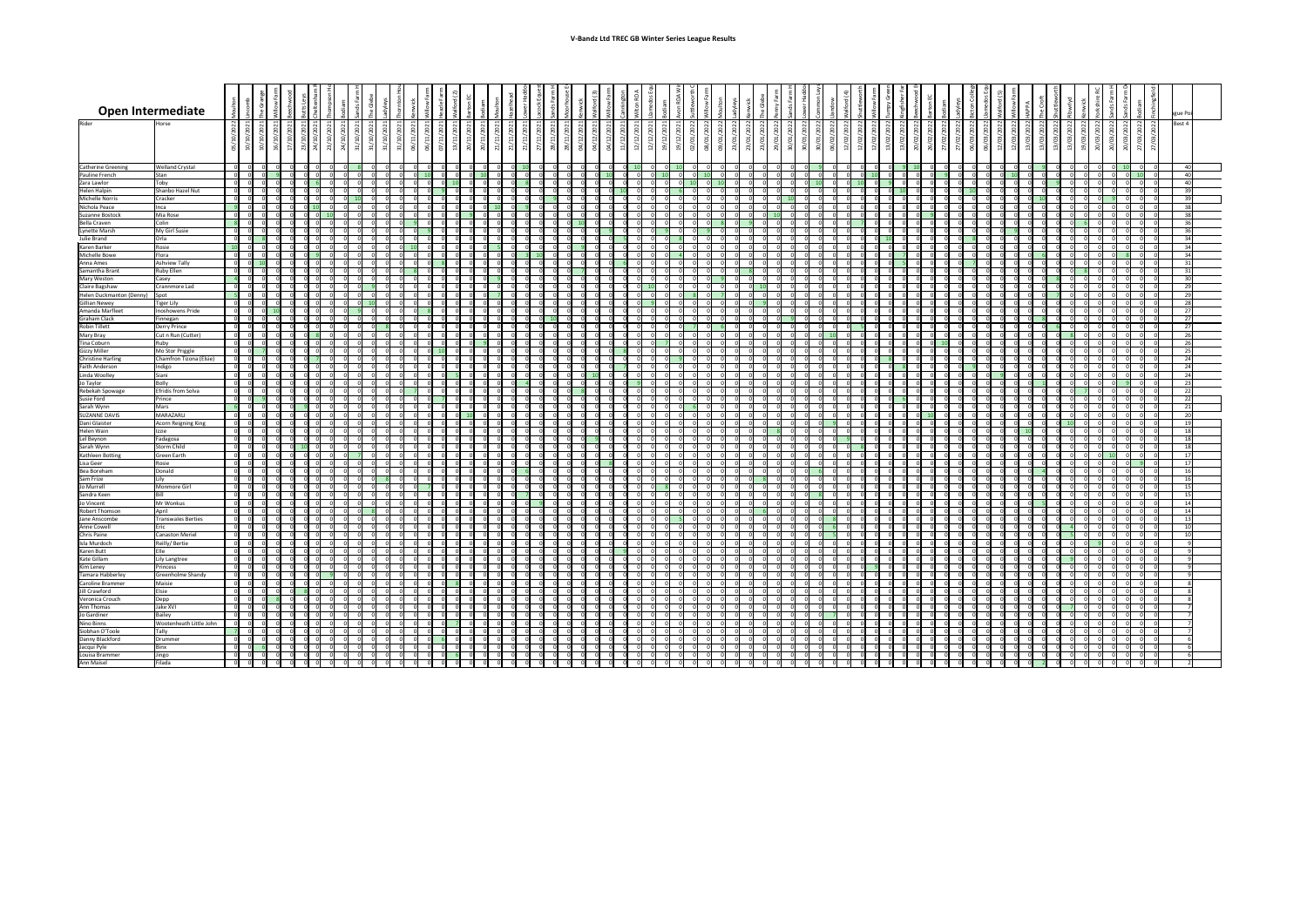| <b>Open Intermediate</b>                                                 |                                         | $\overline{\phantom{0}}$           |                        |                |                               |                |                 |   |      |    |       |  |       |           |   |             |                |                          |  |                 | ague P                                                |
|--------------------------------------------------------------------------|-----------------------------------------|------------------------------------|------------------------|----------------|-------------------------------|----------------|-----------------|---|------|----|-------|--|-------|-----------|---|-------------|----------------|--------------------------|--|-----------------|-------------------------------------------------------|
| Rider                                                                    | Horse                                   |                                    |                        |                |                               |                |                 |   |      |    |       |  |       |           |   |             |                |                          |  |                 | Best 4<br>$\sim$<br>8                                 |
|                                                                          |                                         |                                    |                        |                |                               |                |                 |   |      |    |       |  |       |           |   |             |                |                          |  |                 |                                                       |
|                                                                          | $\circ$                                 | ⊂<br>$\overline{a}$ $\overline{a}$ | $\overline{ }$         | N              | N                             |                |                 |   |      |    | ⊂     |  |       |           |   |             |                | $\overline{\phantom{0}}$ |  | $N$   $N$   $N$ |                                                       |
| <b>Catherine Greening</b>                                                | <b>Welland Crystal</b>                  | - OI                               | 0I                     |                |                               |                |                 |   |      |    |       |  |       |           |   |             |                |                          |  |                 |                                                       |
| Pauline French                                                           | <b>Stan</b>                             | n I                                | ΩI                     |                |                               |                | $\overline{10}$ |   |      |    |       |  |       |           |   |             |                |                          |  |                 | $\overline{1}$                                        |
| Zara Lawlor<br>Helen Halpin                                              | Toby<br>Shanbo Hazel Nut                |                                    | ΩI                     |                |                               |                |                 |   |      |    |       |  |       |           |   |             |                |                          |  |                 |                                                       |
| Michelle Norris                                                          | Cracker                                 |                                    |                        |                |                               |                |                 |   |      |    |       |  |       |           |   |             |                |                          |  |                 |                                                       |
| Nichola Peace                                                            | Inca                                    | 0 I<br>ി                           | 0I                     |                | ി                             |                |                 |   |      |    |       |  |       |           |   |             |                |                          |  |                 | ၁.                                                    |
| Suzanne Bostock<br><b>Bella Craven</b>                                   | Mia Rose<br>Colin                       |                                    | ി                      |                |                               |                |                 |   |      |    |       |  |       |           |   |             |                |                          |  |                 |                                                       |
| Lynette Marsh                                                            | My Girl Susie                           |                                    |                        |                |                               |                |                 |   |      |    |       |  |       |           |   |             |                |                          |  |                 |                                                       |
| Julie Brand<br>Karen Barker                                              | <b>Orla</b><br>Rosie                    | $\overline{0}$                     |                        |                |                               | U              |                 |   |      |    |       |  |       |           |   |             |                |                          |  |                 | $\mathcal{D}'$                                        |
| Michelle Bowe                                                            | Flora                                   | ി                                  |                        |                |                               |                |                 |   |      |    |       |  |       |           |   |             |                |                          |  |                 |                                                       |
| Anna Ames<br>Samantha Brant                                              | <b>Ashview Tally</b><br>Ruby Ellen      |                                    |                        |                |                               |                |                 |   |      |    |       |  |       |           |   |             |                |                          |  |                 |                                                       |
| Mary Weston                                                              | Casey                                   |                                    |                        |                |                               |                |                 |   |      |    |       |  |       |           |   |             |                |                          |  |                 |                                                       |
| Claire Bagshaw                                                           | Crannmore Lad                           |                                    |                        |                |                               |                |                 |   |      |    |       |  |       |           |   |             |                |                          |  |                 |                                                       |
| Helen Duckmanton (Denny)<br><b>Gillian Newey</b>                         | Spot<br>Tiger Lily                      | ി                                  | n                      |                |                               |                |                 |   |      |    |       |  |       |           |   |             |                |                          |  |                 | ົາເ<br>$\sim$                                         |
| Amanda Marfleet                                                          | Inoshowens Pride                        |                                    |                        |                |                               |                |                 |   |      |    |       |  |       |           |   |             |                |                          |  |                 |                                                       |
| <b>Graham Clack</b><br><b>Robin Tillett</b>                              | Finnegan<br>Derry Prince                |                                    | ΩI                     | ി              |                               | ΩI             |                 |   |      |    |       |  |       |           |   |             |                |                          |  |                 | ຳ⊺                                                    |
| Mary Bray                                                                | Cut n Run (Cutter)                      |                                    |                        |                |                               |                |                 |   |      |    |       |  |       |           |   |             |                |                          |  |                 |                                                       |
| Tina Coburn                                                              | Ruby<br>Mo Stor Priggle                 |                                    |                        |                |                               |                |                 |   |      |    |       |  |       |           |   |             |                |                          |  |                 |                                                       |
| <b>Gizzy Miller</b><br><b>Christine Harling</b>                          | Chamfron Tizona (Elsie)                 | ി                                  | 0I                     |                |                               |                |                 |   |      |    |       |  |       |           |   |             |                |                          |  |                 |                                                       |
| <b>Faith Anderson</b>                                                    | Indigo                                  |                                    |                        |                |                               |                |                 |   |      |    |       |  |       |           |   |             |                |                          |  |                 |                                                       |
| Linda Woolley<br>Jo Taylor                                               | Siani<br><b>Bolly</b>                   |                                    |                        |                |                               |                |                 |   |      |    |       |  |       |           |   |             |                |                          |  |                 |                                                       |
| Rebekah Spowage                                                          | Efridís from Solva                      |                                    |                        |                |                               |                |                 |   |      |    |       |  |       |           |   |             |                |                          |  |                 |                                                       |
| Susie Ford<br>Sarah Wynn                                                 | Prince<br>Mars                          | ി                                  |                        |                |                               |                |                 |   |      |    |       |  |       |           |   |             |                |                          |  |                 |                                                       |
| <b>SUZANNE DAVIS</b>                                                     | MARAZARLI                               |                                    |                        |                |                               |                |                 |   |      |    |       |  |       |           |   |             |                |                          |  |                 |                                                       |
| Dani Glaister<br>Helen Wain                                              | Acorn Reigning King<br>Izzie            |                                    |                        |                |                               |                |                 |   |      |    |       |  |       |           |   |             |                |                          |  |                 |                                                       |
| Lel Beynon                                                               | Fadagosa                                | $\Omega$                           |                        |                |                               |                |                 |   |      |    |       |  |       |           |   |             |                |                          |  |                 |                                                       |
| Sarah Wynn                                                               | Storm Child                             |                                    |                        |                |                               |                |                 |   |      |    |       |  |       |           |   |             |                |                          |  |                 |                                                       |
| Kathleen Botting<br>Lisa Geer                                            | Green Earth<br>Rosie                    |                                    | ΩI                     |                |                               |                |                 |   |      |    |       |  |       |           |   |             |                |                          |  |                 |                                                       |
| Bea Boreham                                                              | Donald                                  |                                    |                        |                |                               |                |                 |   |      |    |       |  |       |           |   |             |                |                          |  |                 |                                                       |
| Sam Frize<br>Jo Murrell                                                  | Monmore Girl                            |                                    |                        |                |                               |                |                 |   |      |    |       |  |       |           |   |             |                |                          |  |                 |                                                       |
| Sandra Keen                                                              |                                         |                                    |                        |                |                               |                |                 |   |      |    |       |  |       |           |   |             |                |                          |  |                 |                                                       |
| Jo Vincent<br>Robert Thomson                                             | Mr Wonkus<br>April                      |                                    |                        |                |                               |                |                 |   |      |    |       |  |       |           |   |             |                |                          |  |                 |                                                       |
| Jane Anscombe                                                            | Transwales Berties                      |                                    |                        |                |                               |                |                 |   |      |    |       |  |       |           |   |             |                |                          |  |                 |                                                       |
| Anne Cowell                                                              | ric                                     |                                    |                        |                |                               |                |                 |   |      |    |       |  |       |           |   |             |                |                          |  |                 |                                                       |
| Chris Paine<br>Isla Murdoch                                              | <b>Canaston Meriel</b><br>Reilly/Bertie | n I                                | 0I                     |                |                               |                |                 |   |      |    |       |  |       |           |   |             |                |                          |  |                 |                                                       |
| Karen Butt                                                               |                                         |                                    |                        |                |                               |                |                 |   |      |    |       |  |       |           |   |             |                |                          |  |                 |                                                       |
| <b>Kate Gillam</b><br>Kim Leney                                          | Lily Langtree<br>Princess               |                                    |                        |                |                               |                |                 |   |      |    |       |  |       |           |   |             |                |                          |  |                 |                                                       |
|                                                                          | Greenholme Shandy                       | $\Omega$                           | ി                      |                |                               |                |                 |   |      |    |       |  |       |           |   |             |                |                          |  |                 |                                                       |
| Tamara Habberley<br>Caroline Brammer<br>Jill Crawford<br>Veronica Crouch | Maisie<br>:Isie                         | $\overline{0}$                     | $\overline{0}$<br>- Ol |                | $\overline{\mathbf{0}}$       | $\overline{0}$ |                 |   |      |    |       |  |       | ΩI<br> 0  |   | -01<br> 0   |                |                          |  |                 |                                                       |
|                                                                          | $\Box$                                  | 0 I                                | 0I                     |                | $\overline{\mathbf{0}}$       | 0I             |                 |   |      |    |       |  |       | 0 I       |   | - O I       |                |                          |  |                 | $\overline{\mathbf{0}}$                               |
| Ann Thomas<br>Jo Gardiner                                                | Jake XVI                                |                                    | $\overline{0}$         | 0              | $\overline{0}$<br>- OI        | ΟI             | ി               |   |      |    |       |  |       | 0         |   | - 0 I       | - O I          |                          |  |                 | റ                                                     |
| Nino Binns                                                               | Bailey<br>Wootenheath Little John       |                                    | 0                      |                | $\overline{0}$                | 0              |                 |   |      |    |       |  |       | 0         |   | - 0 I       |                |                          |  |                 | $\overline{\mathbf{0}}$                               |
| Siobhan O'Toole<br>Danny Blackford                                       | Tally                                   |                                    |                        |                |                               | 0 I            |                 |   |      |    |       |  |       | 0 I       | ി |             |                |                          |  |                 | and the contract of the contract of                   |
| Jacqui Pyle                                                              | Drummer<br>Binx                         | 0I<br>-ol                          | 0I<br>$\overline{0}$   | -01<br> 0      | $\overline{\mathbf{0}}$<br> 0 | ΟI<br> 0       | - 0 I           | ി | -0 I | 0L | . O I |  | - O I | 0 I<br> 0 |   | - 0 I<br> 0 | $\overline{0}$ |                          |  | 0               | $\overline{\mathbf{0}}$<br>$\overline{\phantom{0}}$ 0 |
| Louisa Brammer                                                           | Jingo                                   |                                    | - 0 I                  | $\overline{O}$ | $\overline{\mathbf{0}}$       | 0 I            |                 |   |      |    |       |  |       | - O I     |   | - 01        |                |                          |  | ി I             |                                                       |
| Ann Maisel                                                               | Filada                                  |                                    | $\overline{0}$         | $\overline{0}$ | $\Omega$                      | - OI           |                 |   |      |    |       |  |       |           |   |             |                |                          |  |                 |                                                       |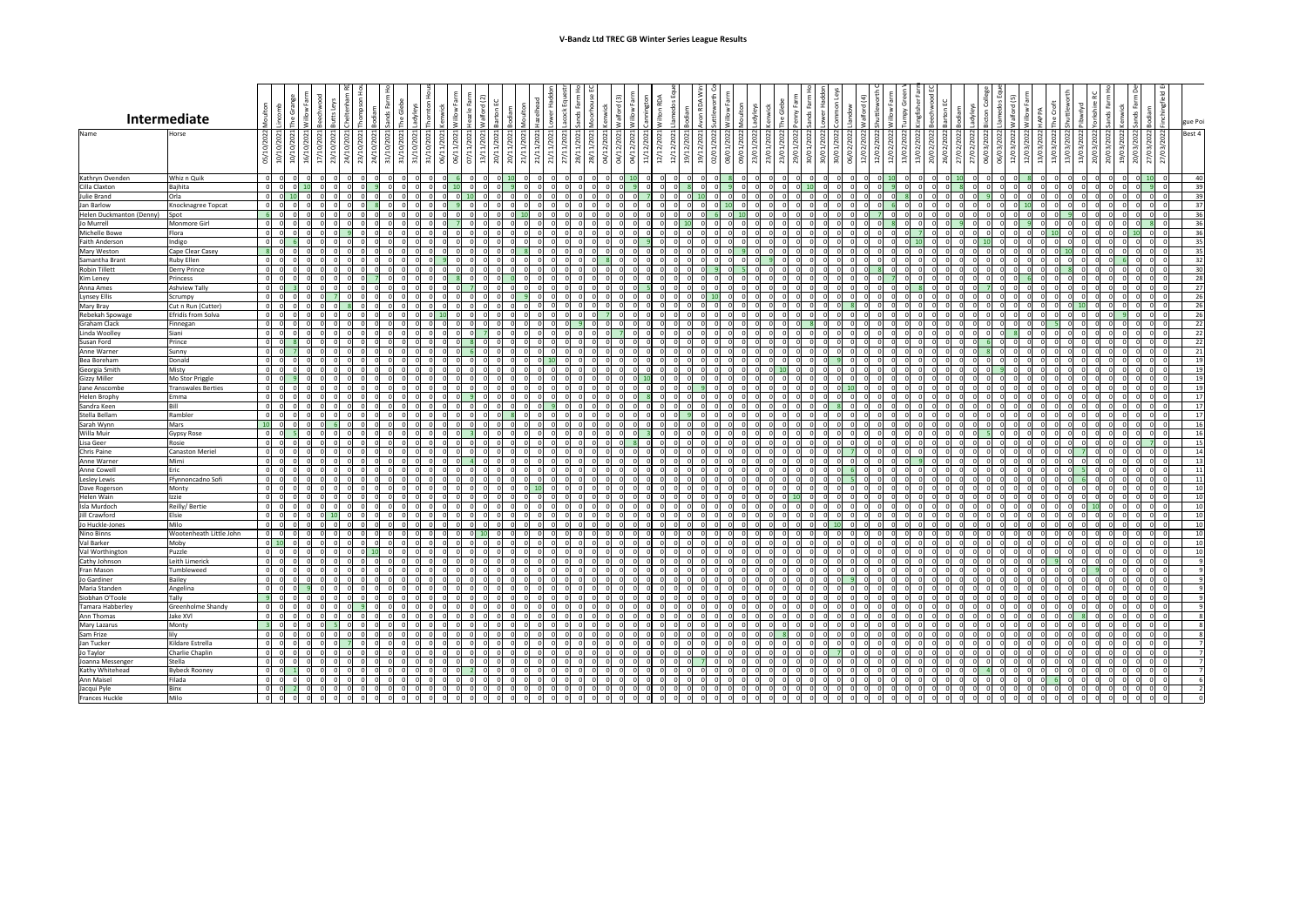| 27/03/2022 Bodiam                                                    | 27/03/2022 Finchingfield EQ                     | Poi<br>gue<br><b>Best</b><br>4                                                                                                                                                                                                                                                                                                                                  |
|----------------------------------------------------------------------|-------------------------------------------------|-----------------------------------------------------------------------------------------------------------------------------------------------------------------------------------------------------------------------------------------------------------------------------------------------------------------------------------------------------------------|
|                                                                      |                                                 |                                                                                                                                                                                                                                                                                                                                                                 |
| $\frac{10}{1}$                                                       |                                                 | $\frac{40}{39} \frac{3}{39} \frac{3}{37} \frac{3}{36} \frac{36}{36} \frac{36}{35} \frac{35}{35} \frac{32}{32} \frac{30}{32} \frac{38}{32} \frac{7}{27} \frac{7}{26} \frac{66}{36} \frac{66}{32} \frac{22}{22} \frac{22}{21} \frac{21}{21} \frac{1}{22} \frac{1}{23} \frac{1}{24} \frac{1}{24} \frac{1}{24} \frac{1}{24} \frac{1}{24} \frac{1}{24} \frac{1}{24}$ |
|                                                                      |                                                 |                                                                                                                                                                                                                                                                                                                                                                 |
|                                                                      |                                                 |                                                                                                                                                                                                                                                                                                                                                                 |
|                                                                      |                                                 |                                                                                                                                                                                                                                                                                                                                                                 |
|                                                                      |                                                 |                                                                                                                                                                                                                                                                                                                                                                 |
|                                                                      |                                                 |                                                                                                                                                                                                                                                                                                                                                                 |
|                                                                      |                                                 |                                                                                                                                                                                                                                                                                                                                                                 |
|                                                                      |                                                 |                                                                                                                                                                                                                                                                                                                                                                 |
|                                                                      |                                                 |                                                                                                                                                                                                                                                                                                                                                                 |
|                                                                      |                                                 |                                                                                                                                                                                                                                                                                                                                                                 |
|                                                                      |                                                 |                                                                                                                                                                                                                                                                                                                                                                 |
|                                                                      |                                                 |                                                                                                                                                                                                                                                                                                                                                                 |
|                                                                      |                                                 |                                                                                                                                                                                                                                                                                                                                                                 |
|                                                                      |                                                 |                                                                                                                                                                                                                                                                                                                                                                 |
|                                                                      |                                                 |                                                                                                                                                                                                                                                                                                                                                                 |
|                                                                      |                                                 |                                                                                                                                                                                                                                                                                                                                                                 |
|                                                                      |                                                 |                                                                                                                                                                                                                                                                                                                                                                 |
|                                                                      |                                                 | 19                                                                                                                                                                                                                                                                                                                                                              |
|                                                                      |                                                 |                                                                                                                                                                                                                                                                                                                                                                 |
| $\frac{0}{0}$                                                        | $\frac{0}{0}$                                   | 19<br>$\overline{19}$                                                                                                                                                                                                                                                                                                                                           |
| $\overline{0}$                                                       |                                                 |                                                                                                                                                                                                                                                                                                                                                                 |
| $\overline{0}$                                                       | $\frac{0}{0}$                                   | $\frac{19}{17}$                                                                                                                                                                                                                                                                                                                                                 |
|                                                                      |                                                 |                                                                                                                                                                                                                                                                                                                                                                 |
| $\frac{0}{0}$                                                        | $\frac{0}{0}$                                   | $\frac{17}{17}$                                                                                                                                                                                                                                                                                                                                                 |
| $\overline{0}$                                                       | $\frac{0}{2}$                                   | $\overline{16}$                                                                                                                                                                                                                                                                                                                                                 |
| $\frac{0}{7}$                                                        | $\frac{0}{0}$                                   | $\frac{16}{15}$<br>$\frac{14}{14}$                                                                                                                                                                                                                                                                                                                              |
|                                                                      |                                                 |                                                                                                                                                                                                                                                                                                                                                                 |
|                                                                      | $\frac{0}{0}$                                   |                                                                                                                                                                                                                                                                                                                                                                 |
|                                                                      |                                                 | 13<br>$\overline{11}$                                                                                                                                                                                                                                                                                                                                           |
| $\begin{array}{c}\n\hline\n0 \\ \hline\n0 \\ \hline\n0\n\end{array}$ | $\frac{0}{0}$                                   | $\overline{11}$                                                                                                                                                                                                                                                                                                                                                 |
|                                                                      |                                                 |                                                                                                                                                                                                                                                                                                                                                                 |
| $\frac{0}{0}$                                                        | $\frac{0}{0}$                                   | $\frac{10}{10}$                                                                                                                                                                                                                                                                                                                                                 |
|                                                                      |                                                 |                                                                                                                                                                                                                                                                                                                                                                 |
|                                                                      |                                                 | 10                                                                                                                                                                                                                                                                                                                                                              |
|                                                                      |                                                 | $\frac{10}{10}$                                                                                                                                                                                                                                                                                                                                                 |
| $\frac{1}{2}$                                                        | $\frac{1}{2}$                                   |                                                                                                                                                                                                                                                                                                                                                                 |
|                                                                      |                                                 | $\overline{10}$                                                                                                                                                                                                                                                                                                                                                 |
| $\frac{0}{0}$                                                        | $\frac{0}{0}$                                   | 10<br>$\overline{9}$                                                                                                                                                                                                                                                                                                                                            |
| $\overline{0}$                                                       | $\overline{0}$                                  | $\overline{9}$                                                                                                                                                                                                                                                                                                                                                  |
| $\overline{0}$                                                       |                                                 | $\overline{9}$                                                                                                                                                                                                                                                                                                                                                  |
| $\overline{0}$                                                       | $\frac{0}{0}$                                   | $\overline{9}$                                                                                                                                                                                                                                                                                                                                                  |
| $\frac{1}{0}$                                                        |                                                 | $\overline{9}$                                                                                                                                                                                                                                                                                                                                                  |
| $\overline{0}$                                                       | $\frac{0}{0}$                                   | $\overline{9}$                                                                                                                                                                                                                                                                                                                                                  |
| $\frac{0}{0}$                                                        | $\begin{array}{c} 0 \\ 0 \\ 0 \\ 0 \end{array}$ | $\overline{8}$                                                                                                                                                                                                                                                                                                                                                  |
|                                                                      |                                                 | $\overline{8}$                                                                                                                                                                                                                                                                                                                                                  |
| $\overline{0}$                                                       |                                                 | $\frac{8}{7}$                                                                                                                                                                                                                                                                                                                                                   |
| $\overline{0}$<br>$\overline{0}$                                     |                                                 | 7                                                                                                                                                                                                                                                                                                                                                               |
|                                                                      |                                                 |                                                                                                                                                                                                                                                                                                                                                                 |
| $\overline{0}$                                                       | $\overline{0}$                                  |                                                                                                                                                                                                                                                                                                                                                                 |
| $\overline{0}$                                                       | $\overline{0}$                                  | $\frac{7}{6}$ $\frac{7}{2}$                                                                                                                                                                                                                                                                                                                                     |
| $\overline{0}$                                                       | $\tilde{\mathfrak{o}}$                          |                                                                                                                                                                                                                                                                                                                                                                 |
|                                                                      |                                                 |                                                                                                                                                                                                                                                                                                                                                                 |

|                                        |                                              |                              |                        |             |                                  |            |                |                |                      |    |                |                |                         |    |   |                                                              |                                                      |                      |                         |                                 |                                  |                                  |                            |                                             |           |                |        |                                  |                      |                |            |                         |                |                      |                |                                        |                |                |                |                     |                         |                      |     |                                  |                |                |                |   |             |                |                               |                |                      | $\overline{\sigma}$ |                          |
|----------------------------------------|----------------------------------------------|------------------------------|------------------------|-------------|----------------------------------|------------|----------------|----------------|----------------------|----|----------------|----------------|-------------------------|----|---|--------------------------------------------------------------|------------------------------------------------------|----------------------|-------------------------|---------------------------------|----------------------------------|----------------------------------|----------------------------|---------------------------------------------|-----------|----------------|--------|----------------------------------|----------------------|----------------|------------|-------------------------|----------------|----------------------|----------------|----------------------------------------|----------------|----------------|----------------|---------------------|-------------------------|----------------------|-----|----------------------------------|----------------|----------------|----------------|---|-------------|----------------|-------------------------------|----------------|----------------------|---------------------|--------------------------|
|                                        |                                              |                              |                        |             |                                  |            |                |                |                      |    |                |                |                         |    |   |                                                              |                                                      |                      |                         |                                 |                                  |                                  |                            |                                             |           |                |        |                                  |                      |                |            |                         |                |                      |                | ت                                      |                |                |                |                     |                         |                      |     |                                  |                |                |                |   |             |                |                               |                |                      |                     |                          |
|                                        | Intermediate                                 |                              |                        |             |                                  |            |                |                |                      |    |                |                |                         |    |   |                                                              |                                                      |                      |                         |                                 |                                  |                                  |                            | $\bar{\mathbf{S}}$                          |           |                | $\sim$ |                                  |                      |                |            | $\geq$                  |                |                      |                |                                        |                |                |                |                     |                         |                      |     |                                  |                |                |                |   |             |                |                               |                |                      |                     |                          |
|                                        |                                              |                              | $\blacksquare$         |             |                                  |            |                |                |                      |    |                |                |                         |    |   |                                                              |                                                      |                      |                         | $\overline{\phantom{0}}$        |                                  |                                  |                            | $\overline{\phantom{0}}$                    |           |                |        |                                  |                      |                |            |                         |                |                      |                |                                        |                |                |                |                     |                         |                      |     |                                  |                |                |                |   |             |                |                               |                |                      |                     | gue Poi                  |
| Name                                   | Horse                                        | $\frac{21}{2}$ $\frac{1}{2}$ | $\tilde{\alpha}$       | S           | $\circ$                          | $\epsilon$ | 202            |                |                      |    | S              | $\circ$        | 3                       |    |   | 202<br>$\circ$                                               | 202                                                  |                      | $\subset$               | 2                               | 202<br>○                         |                                  |                            | 12/2021<br>202                              |           |                | റ      | 202                              | $\overline{5}$       |                |            | 2022                    | ⌒              | $\sim$<br>202        |                | ⌒                                      | S.             |                |                | 022                 | $\circ$                 | O                    | ⌒   | $\sim$<br>S                      |                | $\overline{5}$ |                |   | 2022        | C              | $\sim$<br>8                   |                | 2022                 | 2022                | Best 4                   |
|                                        |                                              | ం⊣<br>$\Xi$                  | Ğ                      | ੩           | 'ə<br>$\lvert \Omega \rvert$     | $\geq$     | 23/10/         | ਼੍ਰੇ           | 1/10/202<br>○        | ⊝⊺ | ğ              |                | $\blacksquare$          |    |   | $\overline{u}$<br>$\overline{ }$<br>$\overline{\phantom{0}}$ | $\overline{\phantom{0}}$<br>$\overline{\phantom{0}}$ |                      |                         | $\rightarrow$<br>$\overline{a}$ | $\overline{ }$<br>$\overline{ }$ |                                  | $\overline{2}$             |                                             |           |                |        | $\mathfrak{S}$                   | 9/6                  |                | C          | 9/01                    | $\infty$       | $\circ$              |                |                                        |                |                |                | 0/02                |                         |                      |     | $\mathfrak{S}$                   |                | O              |                |   | 3/03        | ္              | පු                            | $\circ$        | $\overline{6}$       | $\overline{6}$      |                          |
|                                        |                                              | 의 의                          | ğ                      | $\tilde{e}$ |                                  | ਼ੋ         |                |                | $\overline{m}$       |    |                | Ō              |                         |    |   | 20/1<br>$\sim$                                               | $\sim$                                               |                      |                         | $\approx$                       | 28/                              | ○                                | $\overrightarrow{11}$<br>⊝ | $\widetilde{z}$<br>$\overline{\phantom{0}}$ |           | $\sim$ 0       | - ത    | ි                                | $\circ$              |                |            |                         |                | ੦                    |                |                                        |                |                |                |                     |                         |                      |     |                                  |                |                |                |   |             | ○              | ○                             |                | $\sim$               | $\overline{27}$     |                          |
| Kathryn Ovenden                        | Whiz n Quik                                  |                              |                        |             |                                  |            |                |                |                      |    |                |                |                         |    |   |                                                              |                                                      |                      |                         |                                 |                                  |                                  |                            |                                             |           |                |        |                                  |                      |                |            |                         |                |                      |                |                                        |                |                |                |                     |                         |                      |     |                                  |                |                |                |   |             |                |                               |                |                      |                     | 40                       |
| Cilla Claxton                          | Bajhita                                      |                              |                        |             |                                  |            |                |                |                      |    |                |                |                         |    |   |                                                              |                                                      |                      |                         |                                 |                                  |                                  |                            |                                             |           |                |        |                                  |                      |                |            |                         |                |                      |                |                                        |                |                |                |                     |                         |                      |     |                                  |                |                |                |   |             |                |                               |                |                      |                     | 39                       |
| Julie Brand                            | Orla                                         |                              |                        |             |                                  |            |                |                |                      |    |                |                |                         |    |   |                                                              |                                                      |                      |                         |                                 |                                  |                                  |                            |                                             |           |                |        |                                  |                      |                |            |                         |                |                      |                |                                        |                |                |                |                     |                         |                      |     |                                  |                |                |                |   |             |                |                               |                |                      |                     | 39                       |
| Jan Barlow<br>Helen Duckmanton (Denny) | Knocknagree Topcat<br>Spot                   |                              |                        |             |                                  |            |                |                |                      |    |                |                |                         |    |   |                                                              |                                                      |                      |                         |                                 |                                  |                                  |                            |                                             |           |                |        |                                  |                      |                |            |                         |                |                      |                |                                        |                |                |                |                     |                         |                      |     |                                  |                |                |                |   |             |                |                               |                |                      |                     | - 27<br>36               |
| Jo Murrell                             | Monmore Girl                                 |                              |                        |             |                                  |            |                |                |                      |    |                |                |                         |    |   |                                                              |                                                      |                      |                         |                                 |                                  |                                  |                            |                                             |           |                |        |                                  |                      |                |            |                         |                |                      |                |                                        |                |                |                |                     |                         |                      |     |                                  |                |                |                |   |             |                |                               |                |                      |                     | 36                       |
| Michelle Bowe                          | Flora                                        |                              |                        |             |                                  |            |                |                |                      |    |                |                |                         |    |   |                                                              |                                                      |                      |                         |                                 |                                  |                                  |                            |                                             |           |                |        |                                  |                      |                |            |                         |                |                      |                |                                        |                |                |                |                     |                         |                      |     |                                  |                |                |                |   |             |                |                               |                |                      |                     | 36                       |
| <b>Faith Anderson</b>                  | Indigo                                       |                              |                        |             |                                  |            |                |                |                      |    |                |                |                         |    |   |                                                              |                                                      |                      |                         |                                 |                                  |                                  |                            |                                             |           |                |        |                                  |                      |                |            |                         |                |                      |                |                                        |                |                |                |                     |                         |                      |     |                                  |                |                |                |   |             |                |                               |                |                      |                     | 35                       |
| Mary Weston<br>Samantha Brant          | Cape Clear Casey<br><b>Ruby Ellen</b>        |                              |                        |             |                                  |            |                |                |                      |    |                |                |                         |    |   |                                                              |                                                      |                      |                         |                                 |                                  |                                  |                            |                                             |           |                |        |                                  |                      |                |            |                         |                |                      |                |                                        |                |                |                |                     |                         |                      |     |                                  |                |                |                |   |             |                |                               |                |                      |                     | 35<br>32                 |
| Robin Tillett                          | Derry Prince                                 |                              |                        |             |                                  |            |                |                |                      |    |                |                |                         |    |   |                                                              |                                                      |                      |                         |                                 |                                  |                                  |                            |                                             |           |                |        |                                  |                      |                |            |                         |                |                      |                |                                        |                |                |                |                     |                         |                      |     |                                  |                |                |                |   |             |                |                               |                |                      |                     | 30                       |
| Kim Leney                              | Princess                                     |                              |                        |             |                                  |            |                |                |                      |    |                |                |                         |    |   |                                                              |                                                      |                      |                         |                                 |                                  |                                  |                            |                                             |           |                |        |                                  |                      |                |            |                         |                |                      |                |                                        |                |                |                |                     |                         |                      |     |                                  |                |                |                |   |             |                |                               |                |                      |                     | 28                       |
| Anna Ames                              | <b>Ashview Tally</b>                         |                              |                        |             |                                  |            |                |                |                      |    |                |                |                         |    |   |                                                              |                                                      |                      |                         |                                 |                                  |                                  |                            |                                             |           |                |        |                                  |                      |                |            |                         |                |                      |                |                                        |                |                |                |                     |                         |                      |     |                                  |                |                |                |   |             |                |                               |                |                      |                     | 27                       |
| Lynsey Ellis<br>Mary Bray              | Scrumpy<br>Cut n Run (Cutter)                |                              |                        |             |                                  |            |                |                |                      |    |                |                |                         |    |   |                                                              |                                                      |                      |                         |                                 |                                  |                                  |                            |                                             |           |                |        |                                  |                      |                |            |                         |                |                      |                |                                        |                |                |                |                     |                         |                      |     |                                  |                |                |                |   |             |                |                               |                |                      |                     | 26<br>26                 |
| Rebekah Spowage                        | Efridís from Solva                           |                              |                        |             |                                  |            |                |                |                      |    |                |                |                         |    |   |                                                              |                                                      |                      |                         |                                 |                                  |                                  |                            | ΩI                                          |           |                |        |                                  |                      |                |            |                         |                |                      |                |                                        |                |                |                |                     |                         |                      |     |                                  |                |                |                |   |             |                |                               |                |                      |                     | 26                       |
| <b>Graham Clack</b>                    | Finnegan                                     |                              |                        |             |                                  |            |                |                |                      |    |                |                |                         |    |   |                                                              |                                                      |                      |                         |                                 |                                  |                                  |                            |                                             |           |                |        |                                  |                      |                |            |                         |                |                      |                |                                        |                |                |                |                     |                         |                      |     |                                  |                |                |                |   |             |                |                               |                |                      |                     | 22                       |
| Linda Woolley                          | Siani<br>Prince                              |                              |                        |             |                                  |            |                |                |                      |    |                |                |                         |    |   |                                                              |                                                      |                      |                         |                                 |                                  |                                  |                            |                                             |           |                |        |                                  |                      |                |            |                         |                |                      |                |                                        |                |                |                |                     |                         |                      |     |                                  |                |                |                |   |             |                |                               |                |                      |                     | 22<br>22                 |
| Susan Ford<br>Anne Warner              | Sunny                                        | ∩I                           |                        |             |                                  |            |                |                | $\sim$               |    |                |                |                         |    |   |                                                              |                                                      |                      |                         |                                 |                                  |                                  |                            | $\cap$                                      |           |                |        |                                  |                      |                |            |                         |                |                      |                | $\sim$                                 |                |                |                |                     |                         |                      |     |                                  |                |                |                |   |             |                | $\cap$                        |                |                      |                     | ົາ1                      |
| Bea Boreham                            | Donald                                       |                              |                        |             |                                  |            |                |                |                      |    |                |                |                         |    |   |                                                              |                                                      |                      |                         |                                 |                                  |                                  |                            |                                             |           |                |        |                                  |                      |                |            |                         |                |                      |                |                                        |                |                |                |                     |                         |                      |     |                                  |                |                |                |   |             |                |                               |                |                      |                     |                          |
| Georgia Smith                          | Misty                                        |                              |                        |             |                                  |            |                |                |                      |    |                |                |                         |    |   |                                                              |                                                      |                      |                         |                                 |                                  |                                  |                            |                                             |           |                |        |                                  |                      |                |            |                         |                |                      |                |                                        |                |                |                |                     |                         |                      |     |                                  |                |                |                |   |             |                |                               |                |                      |                     |                          |
| <b>Gizzy Miller</b><br>Jane Anscombe   | Mo Stor Priggle<br><b>Transwales Berties</b> |                              |                        |             |                                  |            |                |                |                      |    |                |                |                         |    |   |                                                              |                                                      |                      |                         |                                 |                                  |                                  |                            |                                             |           |                |        |                                  |                      |                |            |                         |                |                      |                |                                        |                |                |                |                     |                         |                      |     |                                  |                |                |                |   |             |                |                               |                |                      |                     |                          |
| <b>Helen Brophy</b>                    | Emma                                         |                              |                        |             |                                  |            |                |                |                      |    |                |                |                         |    |   |                                                              |                                                      |                      |                         |                                 |                                  |                                  |                            |                                             |           |                |        |                                  |                      |                |            |                         |                |                      |                |                                        |                |                |                |                     |                         |                      |     |                                  |                |                |                |   |             |                |                               |                |                      |                     |                          |
| Sandra Keen                            | <b>Dill</b>                                  |                              |                        |             |                                  |            |                |                |                      |    |                |                |                         |    |   |                                                              |                                                      |                      |                         |                                 |                                  |                                  |                            |                                             |           |                |        |                                  |                      |                |            |                         |                |                      |                |                                        |                |                |                |                     |                         |                      |     |                                  |                |                |                |   |             |                |                               |                |                      |                     |                          |
| Stella Bellam                          | Rambler                                      |                              |                        |             |                                  |            |                |                |                      |    |                |                |                         |    |   |                                                              |                                                      |                      |                         |                                 |                                  |                                  |                            |                                             |           |                |        |                                  |                      |                |            |                         |                |                      |                |                                        |                |                |                |                     |                         |                      |     |                                  |                |                |                |   |             |                |                               |                |                      |                     |                          |
| Sarah Wynn<br>Willa Muir               | Mars<br><b>Gypsy Rose</b>                    | 10 <sup>1</sup>              |                        |             |                                  |            |                |                |                      |    |                |                |                         |    |   |                                                              |                                                      |                      |                         |                                 |                                  |                                  |                            |                                             |           |                |        |                                  |                      |                |            |                         |                |                      |                |                                        |                |                |                |                     |                         |                      |     |                                  |                |                |                |   |             |                |                               |                |                      |                     |                          |
| Lisa Geer                              | Rosie                                        |                              |                        |             |                                  |            |                |                |                      |    |                |                |                         |    |   |                                                              |                                                      |                      |                         |                                 |                                  |                                  |                            |                                             |           |                |        |                                  |                      |                |            |                         |                |                      |                |                                        |                |                |                |                     |                         |                      |     |                                  |                |                |                |   |             |                |                               |                |                      |                     |                          |
| <b>Chris Paine</b>                     | <b>Canaston Meriel</b>                       |                              |                        |             |                                  |            |                |                |                      |    |                |                |                         |    |   |                                                              |                                                      |                      |                         |                                 |                                  |                                  |                            |                                             |           |                |        |                                  |                      |                |            |                         |                |                      |                |                                        |                |                |                |                     |                         |                      |     |                                  |                |                |                |   |             |                |                               |                |                      |                     |                          |
| Anne Warner                            | Mimi<br>Eric                                 |                              |                        |             |                                  |            |                |                |                      |    |                |                |                         |    |   |                                                              |                                                      |                      |                         |                                 |                                  |                                  |                            |                                             |           |                |        |                                  |                      |                |            |                         |                |                      |                |                                        |                |                |                |                     |                         |                      |     |                                  |                |                |                |   |             |                |                               |                |                      |                     |                          |
| <b>Anne Cowell</b><br>Lesley Lewis     | Ffynnoncadno Sofi                            |                              |                        |             |                                  |            |                |                |                      |    |                |                |                         |    |   |                                                              |                                                      |                      |                         |                                 |                                  |                                  |                            |                                             |           |                |        |                                  |                      |                |            |                         |                |                      |                |                                        |                |                |                |                     |                         |                      |     |                                  |                |                |                |   |             |                |                               |                |                      |                     |                          |
| Dave Rogerson                          | Monty                                        |                              |                        |             |                                  |            |                |                |                      |    |                |                |                         |    |   |                                                              |                                                      |                      |                         |                                 |                                  |                                  |                            |                                             |           |                |        |                                  |                      |                |            |                         |                |                      |                |                                        |                |                |                |                     |                         |                      |     |                                  |                |                |                |   |             |                |                               |                |                      |                     |                          |
| Helen Wain                             | Izzie                                        |                              |                        |             |                                  |            |                |                |                      |    |                |                |                         |    |   |                                                              |                                                      |                      |                         |                                 |                                  |                                  |                            |                                             |           |                |        |                                  |                      |                |            |                         |                |                      |                |                                        |                |                |                |                     |                         |                      |     |                                  |                |                |                |   |             |                |                               |                |                      |                     |                          |
| Isla Murdoch<br><b>Jill Crawford</b>   | Reilly/ Bertie<br>Elsie                      |                              |                        |             |                                  |            |                |                |                      |    |                |                |                         |    |   |                                                              |                                                      |                      |                         |                                 |                                  |                                  |                            |                                             |           |                |        |                                  |                      |                |            |                         |                |                      |                |                                        |                |                |                |                     |                         |                      |     |                                  |                |                |                |   |             |                |                               |                |                      |                     |                          |
| Jo Huckle-Jones                        | Milo                                         |                              |                        |             |                                  |            |                |                |                      |    |                |                |                         |    |   |                                                              |                                                      |                      |                         |                                 |                                  |                                  |                            |                                             |           |                |        |                                  |                      |                |            |                         |                |                      |                |                                        |                |                |                |                     |                         |                      |     |                                  |                |                |                |   |             |                |                               |                |                      |                     |                          |
| <b>Nino Binns</b>                      | Wootenheath Little John                      |                              |                        |             |                                  |            |                |                |                      |    |                |                |                         |    |   |                                                              |                                                      |                      |                         |                                 |                                  |                                  |                            |                                             |           |                |        |                                  |                      |                |            |                         |                |                      |                |                                        |                |                |                |                     |                         |                      |     |                                  |                |                |                |   |             |                |                               |                |                      |                     |                          |
| Val Barker                             | Moby                                         | $\mathsf{N}$ 1               |                        |             |                                  |            |                |                |                      |    |                |                |                         |    |   |                                                              |                                                      |                      |                         |                                 |                                  |                                  |                            |                                             |           |                |        |                                  |                      |                |            |                         |                |                      |                |                                        |                |                |                |                     |                         |                      |     |                                  |                |                |                |   |             |                |                               |                |                      |                     |                          |
| Val Worthingtor<br>Cathy Johnson       | Puzzle<br>Leith Limerick                     |                              |                        |             |                                  |            |                |                |                      |    |                |                |                         |    |   |                                                              |                                                      |                      |                         |                                 |                                  |                                  |                            |                                             |           |                |        |                                  |                      |                |            |                         |                |                      |                |                                        |                |                |                |                     |                         |                      |     |                                  |                |                |                |   |             |                |                               |                |                      |                     |                          |
| Fran Mason                             | Tumbleweed                                   |                              |                        |             |                                  |            |                |                |                      |    |                |                |                         |    |   |                                                              |                                                      |                      |                         |                                 |                                  |                                  |                            |                                             |           |                |        |                                  |                      |                |            |                         |                |                      |                |                                        |                |                |                |                     |                         |                      |     |                                  |                |                |                |   |             |                |                               |                |                      |                     |                          |
| Jo Gardiner                            | <b>Bailey</b>                                |                              |                        |             |                                  |            |                |                |                      |    |                |                |                         |    |   |                                                              |                                                      |                      |                         |                                 |                                  |                                  |                            |                                             |           |                |        |                                  |                      |                |            |                         |                |                      |                |                                        |                |                |                |                     |                         |                      |     |                                  |                |                |                |   |             |                |                               |                |                      |                     |                          |
| Maria Standen                          | Angelina                                     |                              |                        |             |                                  |            |                |                |                      |    |                |                |                         |    |   |                                                              |                                                      |                      |                         |                                 |                                  |                                  |                            |                                             |           |                |        |                                  |                      |                |            |                         |                |                      |                |                                        |                |                |                |                     |                         |                      |     |                                  |                |                |                |   |             |                |                               |                |                      |                     |                          |
| Siobhan O'Toole<br>Tamara Habberley    | Tally<br>Greenholme Shandy                   |                              |                        |             |                                  |            |                |                |                      |    |                |                |                         |    |   |                                                              |                                                      |                      |                         |                                 |                                  |                                  |                            |                                             |           |                |        |                                  |                      |                |            |                         |                |                      |                |                                        |                |                |                |                     |                         |                      |     |                                  |                |                |                |   |             |                |                               |                |                      |                     |                          |
| <b>Ann Thomas</b>                      | Jake XVI                                     |                              |                        |             |                                  |            |                |                |                      |    |                |                |                         |    |   |                                                              |                                                      |                      |                         |                                 |                                  |                                  |                            |                                             |           |                |        |                                  |                      |                |            |                         |                |                      |                |                                        |                |                |                |                     |                         |                      |     |                                  |                |                |                |   |             |                |                               |                |                      |                     |                          |
| <b>Mary Lazarus</b>                    | Monty                                        |                              |                        |             |                                  |            |                |                |                      |    |                |                |                         |    |   |                                                              |                                                      |                      |                         |                                 |                                  |                                  |                            |                                             |           |                |        |                                  |                      |                |            |                         |                |                      |                |                                        |                |                |                |                     |                         |                      |     |                                  |                |                |                |   |             |                |                               |                |                      |                     |                          |
| Sam Frize                              | Kildare Estrella                             |                              |                        |             |                                  |            |                |                |                      |    |                |                |                         |    |   |                                                              |                                                      |                      |                         |                                 |                                  |                                  |                            |                                             |           |                |        |                                  |                      |                |            |                         |                |                      |                |                                        |                |                |                |                     |                         |                      |     |                                  |                |                |                |   |             |                |                               |                |                      |                     |                          |
| Jan Tucker<br>Jo Taylor                | Charlie Chaplin                              | $0 \quad 0$<br>$\Omega$      | $\overline{0}$<br>- 01 | 0 <br>- 01  | -01                              |            | $\overline{0}$ | 0              | $\overline{0}$<br> 0 | 0  | - 01           | 0              | $\overline{0}$<br>- 0 I | OI |   | $\overline{0}$                                               | - 0<br>0I                                            | 0 <br>$\overline{O}$ | U                       | - Ol                            | 0                                | - 01                             |                            | $0\quad 0$<br>$ 0 $ $ 0 $                   | 0         | $\overline{0}$ | 0      | $\overline{0}$<br>$\overline{0}$ | $\overline{0}$       | - O I          | OI<br>- OL | $\overline{\mathbf{0}}$ | 0              | $\overline{0}$<br>0l | $\overline{O}$ | $\begin{bmatrix} 0 \\ 0 \end{bmatrix}$ | 0              | $\overline{0}$ | 0 I            | $0\quad 0$<br>- 0 I | $\overline{0}$          | 0 <br>$\overline{0}$ | 0I  | $\overline{0}$<br>$\overline{0}$ | 0              | <b>U</b>       | -01            |   | 0           | $\overline{0}$ | $0 \bigcup$<br>$\overline{0}$ | 0              | $0$ 0<br>$0\sqrt{0}$ |                     | $\overline{\phantom{a}}$ |
| Joanna Messenger                       | Stella                                       | $\overline{0}$               | 0                      | - O I       |                                  |            | $\overline{0}$ | $\overline{0}$ |                      | 0  | $\overline{0}$ |                | ΟI                      | 0I |   |                                                              | $\overline{0}$                                       |                      | $\mathbf 0$             |                                 | - OI                             |                                  |                            | $0$ 0                                       |           |                |        | $\overline{0}$                   |                      | ΟI             | -OI        |                         |                | 0                    |                | -OI                                    | $\overline{0}$ | $\overline{0}$ |                | 0                   | $\overline{\mathbf{0}}$ |                      |     | $\overline{\mathbf{0}}$          | 0              |                |                |   |             |                | $\overline{0}$                | $\overline{0}$ |                      |                     |                          |
| Kathy Whitehead                        | <b>Bybeck Rooney</b>                         |                              |                        |             |                                  |            |                |                |                      |    |                |                |                         |    |   |                                                              | ΩI                                                   |                      |                         |                                 |                                  |                                  |                            | 0                                           | - 0       |                |        |                                  |                      |                |            |                         |                |                      |                |                                        |                |                |                | - 0 I               | $\overline{0}$          |                      |     |                                  |                |                |                |   |             |                | <sup>0</sup>                  |                | $\sqrt{ }$           |                     |                          |
| Ann Maisel                             | Filada                                       | $\overline{0}$<br>0 l        |                        | - 0         | $\overline{0}$<br>$\overline{0}$ | ി          |                |                | 0                    |    |                |                | $\overline{\mathbf{0}}$ |    | ി |                                                              | $\overline{0}$                                       | 0                    | $\overline{\mathbf{0}}$ |                                 |                                  |                                  |                            | 0 <br>$0$ 0                                 | - 0<br> 0 |                | 0l     |                                  |                      |                |            | $ 0 $ 0                 |                | $\overline{0}$       |                | 0                                      |                | 01             |                | 0                   | - 0                     | $\overline{0}$       | 0 I |                                  |                |                | 01             |   | $ 0 $ $ 0 $ | 0              | 0 <br>$ 0 $ 0                 | 0l             | $0$ 0                | -ol                 | ຳ                        |
| Jacqui Pyle<br><b>Frances Huckle</b>   | <b>Binx</b><br>Milo                          | 0I.                          |                        | 0           |                                  |            | 0 <br>$\Omega$ | $\overline{0}$ | $\overline{0}$       | 0  | $\overline{0}$ | $\overline{0}$ | 0 I                     | 0  |   | $\overline{\mathbf{0}}$                                      | $\overline{0}$<br>0l                                 | 0                    |                         |                                 | 0                                | $\overline{0}$<br>$\overline{0}$ |                            | 0                                           | - 0       | $\overline{0}$ |        | $\overline{0}$                   | 0 <br>$\overline{0}$ | $\overline{0}$ | 0          |                         | $\overline{0}$ | 0 <br>0l             | 0              | $\overline{\mathbf{0}}$                | 0              | $\overline{0}$ | $\overline{0}$ | $0 \quad 0$<br> 0   |                         | $\overline{0}$       |     | $\overline{0}$<br>- Ol           | $\overline{0}$ | $\overline{0}$ | $\overline{0}$ | 0 |             |                | -ol                           | - OL           |                      |                     | $\Omega$                 |
|                                        |                                              |                              |                        |             |                                  |            |                |                |                      |    |                |                |                         |    |   |                                                              |                                                      |                      |                         |                                 |                                  |                                  |                            |                                             |           |                |        |                                  |                      |                |            |                         |                |                      |                |                                        |                |                |                |                     |                         |                      |     |                                  |                |                |                |   |             |                |                               |                |                      |                     |                          |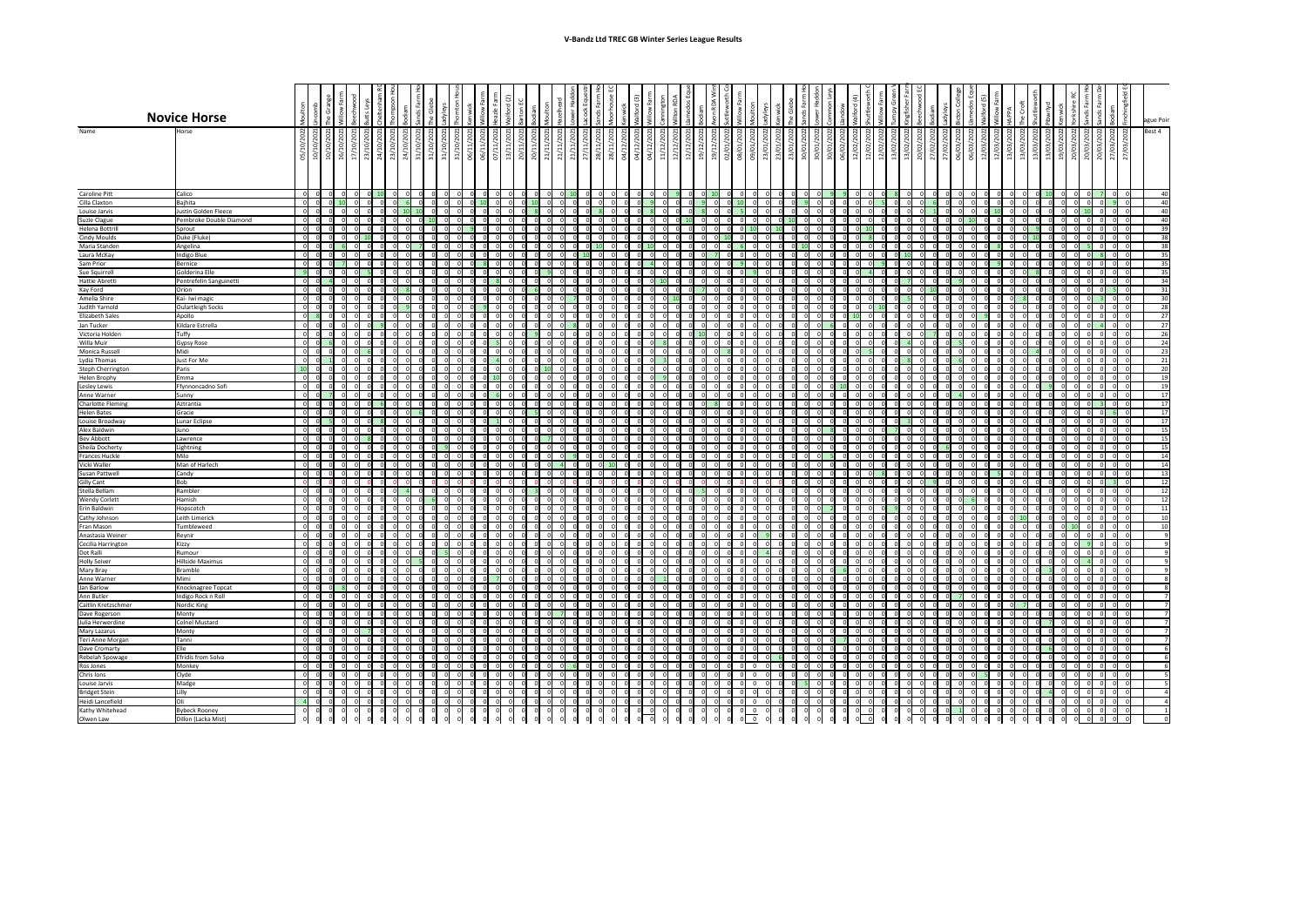|                                            |                                                 |                               |             |                |                                                      |             |                               |   |                 |          |  |                |                         |  |                                                      |                          | $\widehat{3}$                                                        |                                                         | ய                               |      |                            |                |                    |        |           |     |                |      |      |                      |                          |                                 |  | ပ                                                               | $\overline{5}$<br>ਠ |   |      |                |                                        |        | ≃<br>ட                                               |              |     |      |        |                      |
|--------------------------------------------|-------------------------------------------------|-------------------------------|-------------|----------------|------------------------------------------------------|-------------|-------------------------------|---|-----------------|----------|--|----------------|-------------------------|--|------------------------------------------------------|--------------------------|----------------------------------------------------------------------|---------------------------------------------------------|---------------------------------|------|----------------------------|----------------|--------------------|--------|-----------|-----|----------------|------|------|----------------------|--------------------------|---------------------------------|--|-----------------------------------------------------------------|---------------------|---|------|----------------|----------------------------------------|--------|------------------------------------------------------|--------------|-----|------|--------|----------------------|
|                                            | <b>Novice Horse</b>                             |                               | ט           |                |                                                      |             |                               |   |                 |          |  |                |                         |  |                                                      |                          |                                                                      |                                                         |                                 |      |                            |                |                    |        | J.        |     |                |      |      |                      |                          |                                 |  |                                                                 |                     |   | ₹    |                |                                        |        |                                                      |              |     |      |        | ague Poir            |
| Name                                       | Horse                                           | $\frac{2022}{2021}$           |             |                |                                                      |             |                               |   |                 |          |  |                |                         |  | $\overline{a}$                                       | $\overline{\phantom{0}}$ | ς<br>$\overline{ }$                                                  | $\overline{\phantom{0}}$                                | $\overline{ }$                  |      |                            | 2022           |                    |        |           |     |                |      |      |                      |                          |                                 |  |                                                                 |                     |   | 2022 |                |                                        | $\sim$ |                                                      |              |     | 22   | Best 4 |                      |
|                                            |                                                 | $\tilde{p}$<br>$\overline{a}$ |             |                | 10/10/2021<br>16/10/2021<br>17/10/2021<br>23/10/2021 | 24/10/2021  | $\overline{c}$<br>$\tilde{a}$ |   | Ğ               | ♂        |  |                | ္ဘာ                     |  | 21/11/2021<br>21/11/2021<br>21/11/2021<br>27/11/2021 | 202                      | 202                                                                  | <u>ຊ</u>                                                | 202<br>$\sim$                   | 2021 | /2021                      |                | 09/01/2022         | ನಿ     |           |     |                |      |      |                      |                          |                                 |  | 202<br>S.                                                       | $\frac{202}{1}$     | ○ | S    |                | 13/03/2022<br>13/03/2022<br>19/03/2022 |        | 20/03/2022<br>20/03/2022<br>20/03/2022<br>27/03/2022 |              |     | (03) |        |                      |
|                                            |                                                 | 05/<br>10/                    |             |                |                                                      |             | $\frac{23}{1}$                |   | $\mathfrak{Z}'$ |          |  | $\overline{5}$ | $\frac{1}{2}$<br>$\geq$ |  |                                                      |                          | $\begin{array}{c c}\n 28/11/3 \\  28/11/3 \\  04/12/3\n \end{array}$ | $\frac{1}{2}$ $\frac{1}{2}$<br>$\overline{\phantom{a}}$ | $\overline{\phantom{0}}$<br>12/ |      | 19/12/<br>19/12/<br>19/01/ | 08/01,         |                    | 23/01/ |           |     |                |      |      | $\overrightarrow{a}$ | $\overline{\phantom{0}}$ | $\frac{3}{5}$<br>$\overline{a}$ |  | 20/02/1<br>27/02/1<br>27/03/10 06/03/12<br>27/03/12<br>27/03/12 |                     |   |      | $\frac{13}{0}$ |                                        |        |                                                      |              |     | 27   |        |                      |
|                                            |                                                 |                               |             |                |                                                      |             |                               |   |                 |          |  |                |                         |  |                                                      |                          |                                                                      |                                                         |                                 |      |                            |                |                    |        |           |     |                |      |      |                      |                          |                                 |  |                                                                 |                     |   |      |                |                                        |        |                                                      |              |     |      |        |                      |
|                                            |                                                 |                               |             |                |                                                      |             |                               |   |                 |          |  |                |                         |  |                                                      |                          |                                                                      |                                                         |                                 |      |                            |                |                    |        |           |     |                |      |      |                      |                          |                                 |  |                                                                 |                     |   |      |                |                                        |        |                                                      |              |     |      |        |                      |
| <b>Caroline Pitt</b>                       | Calico                                          |                               |             |                |                                                      |             |                               |   |                 |          |  |                |                         |  |                                                      |                          |                                                                      |                                                         |                                 |      |                            |                |                    |        |           |     |                |      |      |                      |                          |                                 |  |                                                                 |                     |   |      |                |                                        |        |                                                      |              |     |      |        | -40                  |
| Cilla Claxton                              | Bajhita                                         |                               |             |                |                                                      |             |                               |   |                 |          |  |                |                         |  |                                                      |                          |                                                                      |                                                         |                                 |      |                            |                |                    |        |           |     |                |      |      |                      |                          |                                 |  |                                                                 |                     |   |      |                |                                        |        |                                                      |              |     |      |        | 4(                   |
| Louise Jarvis<br>Suzie Clague              | Justin Golden Fleece<br>Pembroke Double Diamond |                               |             |                |                                                      |             |                               |   |                 |          |  |                |                         |  |                                                      |                          |                                                                      |                                                         |                                 |      |                            |                |                    |        |           |     |                |      |      |                      |                          |                                 |  |                                                                 |                     |   |      |                |                                        |        |                                                      |              |     |      |        | -40<br>-40           |
| Helena Bottrill                            | Sprout                                          |                               |             |                |                                                      |             |                               |   |                 |          |  |                |                         |  |                                                      |                          |                                                                      |                                                         |                                 |      |                            |                |                    |        |           |     |                |      |      |                      |                          |                                 |  |                                                                 |                     |   |      |                |                                        |        |                                                      |              |     |      |        | 39                   |
| <b>Cindy Moulds</b><br>Maria Standen       | Duke (Fluke)<br>Angelina                        |                               |             |                |                                                      |             |                               |   |                 |          |  |                |                         |  |                                                      |                          |                                                                      |                                                         |                                 |      |                            |                |                    |        |           |     |                |      |      |                      |                          |                                 |  |                                                                 |                     |   |      |                |                                        |        |                                                      |              |     |      |        | 38<br>38             |
| Laura McKay                                | Indigo Blue                                     |                               |             |                |                                                      |             |                               |   |                 |          |  |                |                         |  |                                                      |                          |                                                                      |                                                         |                                 |      |                            |                |                    |        |           |     |                |      |      |                      |                          |                                 |  |                                                                 |                     |   |      |                |                                        |        |                                                      |              |     |      |        | 35                   |
| Sam Prior<br>Sue Squirrell                 | Bernice<br>Golderina Elle                       |                               |             |                |                                                      |             |                               |   |                 |          |  |                |                         |  |                                                      |                          |                                                                      |                                                         |                                 |      |                            |                |                    |        |           |     |                |      |      |                      |                          |                                 |  |                                                                 |                     |   |      |                |                                        |        |                                                      |              |     |      |        | 35<br>35             |
| Hattie Abretti                             | Pentrefelin Sanguinetti                         |                               |             |                |                                                      |             |                               |   |                 |          |  |                |                         |  |                                                      |                          |                                                                      |                                                         |                                 |      |                            |                |                    |        |           |     |                |      |      |                      |                          |                                 |  |                                                                 |                     |   |      |                |                                        |        |                                                      |              |     |      |        | 34                   |
| Kay Ford                                   | Orion                                           |                               |             |                |                                                      |             |                               |   |                 |          |  |                |                         |  |                                                      |                          |                                                                      |                                                         |                                 |      |                            |                |                    |        |           |     |                |      |      |                      |                          |                                 |  |                                                                 |                     |   |      |                |                                        |        |                                                      |              |     |      |        | 31                   |
| Amelia Shire<br>Judith Yarnold             | Kai- Iwi magic<br>Oulartleigh Socks             |                               |             |                |                                                      |             |                               |   |                 |          |  |                |                         |  |                                                      |                          |                                                                      |                                                         |                                 |      |                            |                |                    |        |           |     |                |      |      |                      |                          |                                 |  |                                                                 |                     |   |      |                |                                        |        |                                                      |              |     |      |        | 3 <sup>c</sup><br>28 |
| <b>Elizabeth Sales</b>                     | Apollo                                          |                               |             |                |                                                      |             |                               |   |                 |          |  |                |                         |  |                                                      |                          |                                                                      |                                                         |                                 |      |                            |                |                    |        |           |     |                |      |      |                      |                          |                                 |  |                                                                 |                     |   |      |                |                                        |        |                                                      |              |     |      |        | 27                   |
| Jan Tucker<br>Victoria Holden              | Kildare Estrella<br>Tuffy                       |                               | - 01        | 0              |                                                      | 0l          | 0                             |   |                 |          |  |                |                         |  |                                                      |                          |                                                                      |                                                         |                                 |      | 0                          |                |                    |        |           |     |                |      |      |                      |                          |                                 |  |                                                                 |                     |   |      |                |                                        |        |                                                      |              |     |      |        | 27<br>26             |
| Willa Muir                                 | <b>Gypsy Rose</b>                               |                               |             |                |                                                      |             |                               |   |                 |          |  |                |                         |  |                                                      |                          |                                                                      |                                                         |                                 |      |                            |                |                    |        |           |     |                |      |      |                      |                          |                                 |  |                                                                 |                     |   |      |                |                                        |        |                                                      |              |     |      |        |                      |
| Monica Russell<br>Lydia Thomas             | Midi<br>Just For Me                             |                               |             |                |                                                      |             |                               |   |                 |          |  |                |                         |  |                                                      |                          |                                                                      |                                                         |                                 |      |                            |                |                    |        |           |     |                |      |      |                      |                          |                                 |  |                                                                 |                     |   |      |                |                                        |        |                                                      |              |     |      |        | 23                   |
| Steph Cherrington                          | Paris                                           |                               |             |                |                                                      |             |                               |   |                 |          |  |                |                         |  |                                                      |                          |                                                                      |                                                         |                                 |      |                            |                |                    |        |           |     |                |      |      |                      |                          |                                 |  |                                                                 |                     |   |      |                |                                        |        |                                                      |              |     |      |        |                      |
| Helen Brophy                               | Emma                                            |                               |             |                |                                                      |             |                               |   |                 |          |  |                |                         |  |                                                      |                          |                                                                      |                                                         |                                 |      |                            |                |                    |        |           |     |                |      |      |                      |                          |                                 |  |                                                                 |                     |   |      |                |                                        |        |                                                      |              |     |      |        |                      |
| Lesley Lewis<br>Anne Warner                | Ffynnoncadno Sofi<br>Sunny                      |                               |             |                |                                                      |             |                               |   |                 |          |  |                |                         |  |                                                      |                          |                                                                      |                                                         |                                 |      |                            |                |                    |        |           |     |                |      |      |                      |                          |                                 |  |                                                                 |                     |   |      |                |                                        |        |                                                      |              |     |      |        |                      |
| Charlotte Fleming                          | Aztrantia                                       |                               |             |                |                                                      |             |                               |   |                 |          |  |                |                         |  |                                                      |                          |                                                                      |                                                         |                                 |      |                            |                |                    |        |           |     |                |      |      |                      |                          |                                 |  |                                                                 |                     |   |      |                |                                        |        |                                                      |              |     |      |        |                      |
| <b>Helen Bates</b><br>Louise Broadway      | Gracie<br>Lunar Eclipse                         |                               |             |                |                                                      |             |                               |   |                 |          |  |                |                         |  |                                                      |                          |                                                                      |                                                         |                                 |      |                            |                |                    |        |           |     |                |      |      |                      |                          |                                 |  |                                                                 |                     |   |      |                |                                        |        |                                                      |              |     |      |        |                      |
| Alex Baldwin                               | Juno                                            |                               |             |                |                                                      |             |                               |   |                 |          |  |                |                         |  |                                                      |                          |                                                                      |                                                         |                                 |      |                            |                |                    |        |           |     |                |      |      |                      |                          |                                 |  |                                                                 |                     |   |      |                |                                        |        |                                                      |              |     |      |        | <b>1</b>             |
| <b>Bev Abbott</b><br>Sheila Docherty       | Lawrence<br>Lightning                           |                               |             |                |                                                      |             |                               |   |                 |          |  |                |                         |  |                                                      |                          |                                                                      |                                                         |                                 |      |                            |                |                    |        |           |     |                |      |      |                      |                          |                                 |  |                                                                 |                     |   |      |                |                                        |        |                                                      |              |     |      |        |                      |
| <b>Frances Huckle</b>                      | Milo                                            |                               |             |                |                                                      |             |                               |   |                 |          |  |                |                         |  |                                                      |                          |                                                                      |                                                         |                                 |      |                            |                |                    |        |           |     |                |      |      |                      |                          |                                 |  |                                                                 |                     |   |      |                |                                        |        |                                                      |              |     |      |        |                      |
| Vicki Waller                               | Man of Harlech<br>Candy                         |                               |             |                |                                                      |             |                               |   |                 |          |  |                |                         |  |                                                      |                          |                                                                      |                                                         |                                 |      |                            |                |                    |        |           |     |                |      |      |                      |                          |                                 |  |                                                                 |                     |   |      |                |                                        |        |                                                      |              |     |      |        | $\overline{1}$<br>13 |
| <b>Susan Pattwell</b><br><b>Gilly Cant</b> | <b>Bob</b>                                      |                               |             |                |                                                      |             |                               |   |                 |          |  |                |                         |  |                                                      |                          |                                                                      |                                                         |                                 |      |                            |                |                    |        |           |     |                |      |      |                      |                          |                                 |  |                                                                 |                     |   |      |                |                                        |        |                                                      |              |     |      |        |                      |
| Stella Bellam                              | Rambler                                         |                               |             |                |                                                      |             |                               |   |                 |          |  |                |                         |  |                                                      |                          |                                                                      |                                                         |                                 |      |                            |                |                    |        |           |     |                |      |      |                      |                          |                                 |  |                                                                 |                     |   |      |                |                                        |        |                                                      |              |     |      |        |                      |
| <b>Wendy Corlett</b><br>Erin Baldwin       | Hamish<br>Hopscotch                             |                               |             |                |                                                      |             |                               |   |                 |          |  |                |                         |  |                                                      |                          |                                                                      |                                                         |                                 |      |                            |                |                    |        |           |     |                |      |      |                      |                          |                                 |  |                                                                 |                     |   |      |                |                                        |        |                                                      |              |     |      |        |                      |
| Cathy Johnson                              | Leith Limerick                                  |                               |             |                |                                                      |             |                               |   |                 |          |  |                |                         |  |                                                      |                          |                                                                      |                                                         |                                 |      |                            |                |                    |        |           |     |                |      |      |                      |                          |                                 |  |                                                                 |                     |   |      |                |                                        |        |                                                      |              |     |      |        |                      |
| Fran Mason<br>Anastasia Weiner             | Tumbleweed<br>Reynir                            |                               |             |                |                                                      |             |                               |   |                 |          |  |                |                         |  |                                                      |                          |                                                                      |                                                         |                                 |      |                            |                |                    |        |           |     |                |      |      |                      |                          |                                 |  |                                                                 |                     |   |      |                |                                        |        |                                                      |              |     |      |        |                      |
| Cecilia Harrington                         | Kizzy                                           |                               |             |                |                                                      |             |                               |   |                 |          |  |                |                         |  |                                                      |                          |                                                                      |                                                         |                                 |      |                            |                |                    |        |           |     |                |      |      |                      |                          |                                 |  |                                                                 |                     |   |      |                |                                        |        |                                                      |              |     |      |        |                      |
| Dot Ralli<br><b>Holly Seiver</b>           | Rumour<br>Hillside Maximus                      |                               |             |                |                                                      |             |                               |   |                 |          |  |                |                         |  |                                                      |                          |                                                                      |                                                         |                                 |      |                            |                |                    |        |           |     |                |      |      |                      |                          |                                 |  |                                                                 |                     |   |      |                |                                        |        |                                                      |              |     |      |        |                      |
| Mary Bray                                  | Bramble                                         |                               |             |                |                                                      |             |                               |   |                 |          |  |                |                         |  |                                                      |                          |                                                                      |                                                         |                                 |      |                            |                |                    |        |           |     |                |      |      |                      |                          |                                 |  |                                                                 |                     |   |      |                |                                        |        |                                                      |              |     |      |        |                      |
| Anne Warner                                | Mimi                                            |                               |             |                |                                                      |             |                               |   |                 |          |  |                |                         |  |                                                      |                          |                                                                      |                                                         |                                 |      |                            |                |                    |        |           |     |                |      |      |                      |                          |                                 |  |                                                                 |                     |   |      |                |                                        |        |                                                      |              |     |      |        |                      |
| Jan Barlow<br>Ann Butler                   | Knocknagree Topcat<br>Indigo Rock n Roll        |                               |             |                |                                                      |             |                               |   |                 |          |  |                |                         |  |                                                      |                          |                                                                      |                                                         |                                 |      |                            |                |                    |        |           |     |                |      |      |                      |                          |                                 |  |                                                                 |                     |   |      |                |                                        |        |                                                      |              |     |      |        |                      |
| Caitlin Kretzschmer                        | Nordic King                                     |                               | 0 <br> 0    | $\overline{0}$ | 0                                                    | $ 0 $ $ 0 $ | 0                             | 0 | 0               | 0 <br> 0 |  |                |                         |  |                                                      |                          |                                                                      |                                                         |                                 |      | 0                          | $\overline{0}$ | -01                | 0      | 0I<br>-01 | - 0 | $\overline{0}$ | ി    | - 01 |                      |                          |                                 |  |                                                                 |                     |   |      |                |                                        |        |                                                      |              |     |      |        |                      |
| Dave Rogerson<br>Julia Herwerdine          | Monty<br><b>Colnel Mustard</b>                  |                               | -01<br>- 01 | $\overline{0}$ |                                                      | 0I          | -01                           |   |                 |          |  |                |                         |  |                                                      |                          |                                                                      |                                                         |                                 |      | <b>UI</b>                  | ΩI             |                    |        |           |     |                |      |      |                      |                          |                                 |  |                                                                 |                     |   |      |                |                                        | - 01   | -01                                                  | <sup>O</sup> | -01 |      |        |                      |
| Mary Lazarus                               | Monty                                           |                               |             | ΟI             |                                                      |             |                               |   |                 |          |  |                |                         |  |                                                      |                          |                                                                      |                                                         |                                 |      | ΟI                         | 0              |                    |        |           |     |                |      |      |                      |                          |                                 |  |                                                                 |                     |   |      |                |                                        |        |                                                      |              |     |      |        |                      |
| Teri Anne Morgan<br>Dave Cromarty          | Tanni<br>Elle                                   |                               |             |                |                                                      |             |                               |   |                 |          |  |                |                         |  |                                                      |                          |                                                                      |                                                         |                                 |      |                            |                |                    |        |           |     |                |      |      |                      |                          |                                 |  |                                                                 |                     |   |      |                |                                        |        |                                                      |              |     |      |        |                      |
| Rebelah Spowage                            | Efridís from Solva                              |                               |             | ΟI             |                                                      | ΩI          |                               |   |                 |          |  |                |                         |  |                                                      |                          |                                                                      |                                                         |                                 |      | ΩI                         |                |                    |        |           |     |                |      |      |                      |                          |                                 |  |                                                                 |                     |   |      |                |                                        |        |                                                      |              |     |      |        |                      |
| Ros Jones                                  | Monkey                                          |                               |             |                |                                                      |             |                               |   |                 |          |  |                |                         |  |                                                      |                          |                                                                      |                                                         |                                 |      |                            | ΩI             | - 0                |        |           |     |                |      |      |                      |                          |                                 |  |                                                                 |                     |   |      |                |                                        |        |                                                      |              |     |      |        |                      |
| Chris Ions<br>Louise Jarvis                | Clyde<br>Madge                                  |                               |             |                |                                                      |             |                               |   |                 |          |  |                |                         |  |                                                      |                          |                                                                      |                                                         |                                 |      | ΟI                         | -01<br>ΩI      | - 0<br>- 0         |        |           |     |                |      |      |                      |                          |                                 |  |                                                                 |                     |   |      |                |                                        |        |                                                      |              |     |      |        |                      |
| <b>Bridget Stein</b>                       | Lilly                                           |                               |             |                |                                                      |             |                               |   |                 |          |  |                |                         |  |                                                      |                          |                                                                      |                                                         |                                 |      |                            |                |                    |        |           |     |                |      |      |                      |                          |                                 |  |                                                                 |                     |   |      |                |                                        |        |                                                      |              |     |      |        |                      |
| Heidi Lancefield<br>Kathy Whitehead        | lOli<br><b>Bybeck Rooney</b>                    |                               |             | 0l<br>ΟI       |                                                      | - Ol<br>ΩI  | $\Omega$<br>0I                |   |                 |          |  |                |                         |  |                                                      |                          |                                                                      |                                                         |                                 | n    | $\overline{0}$<br>ΟI       | $\Omega$       | - 0<br>$0\qquad 0$ |        |           | 0   | ΩI<br>- 0 I    | - OI |      |                      |                          |                                 |  |                                                                 |                     |   |      |                |                                        |        |                                                      |              |     |      |        |                      |
| Olwen Law                                  | Dillon (Lacka Mist)                             |                               |             |                |                                                      |             |                               |   |                 |          |  |                |                         |  |                                                      |                          |                                                                      |                                                         |                                 |      |                            |                | $0\qquad 0$        |        |           |     |                |      |      |                      |                          |                                 |  |                                                                 |                     |   |      |                |                                        |        |                                                      |              |     |      |        |                      |